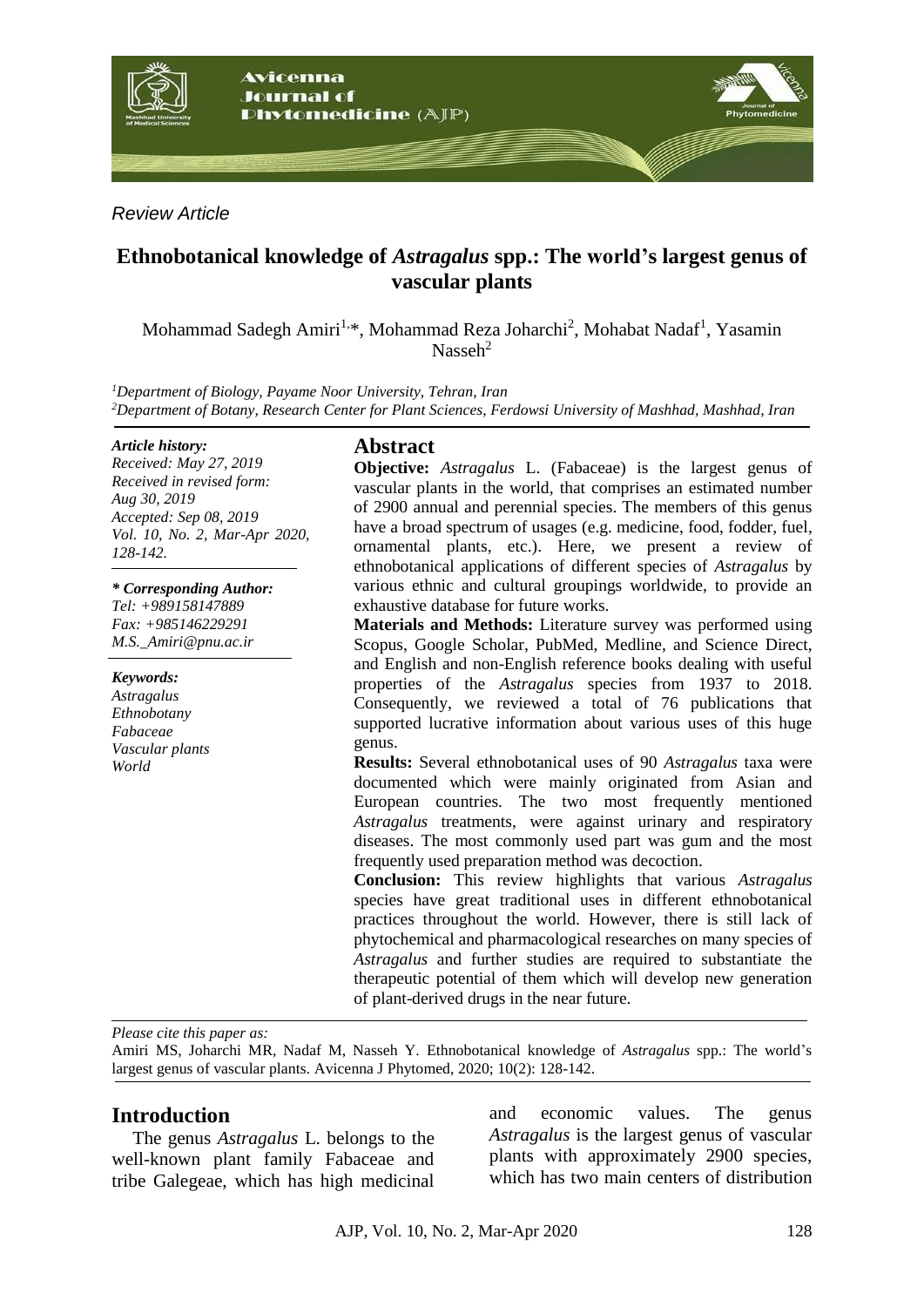

*Review Article*

# **Ethnobotanical knowledge of** *Astragalus* **spp.: The world's largest genus of vascular plants**

Mohammad Sadegh Amiri<sup>1,\*</sup>, Mohammad Reza Joharchi<sup>2</sup>, Mohabat Nadaf<sup>1</sup>, Yasamin Nasseh<sup>2</sup>

*<sup>1</sup>Department of Biology, Payame Noor University, Tehran, Iran <sup>2</sup>Department of Botany, Research Center for Plant Sciences, Ferdowsi University of Mashhad, Mashhad, Iran*

#### *Article history:*

*Received: May 27, 2019 Received in revised form: Aug 30, 2019 Accepted: Sep 08, 2019 Vol. 10, No. 2, Mar-Apr 2020, 128-142.*

*\* Corresponding Author: Tel: +989158147889 Fax: +985146229291 M.S.\_Amiri@pnu.ac.ir* 

*Keywords: Astragalus Ethnobotany Fabaceae Vascular plants World*

## **Abstract**

**Objective:** *Astragalus* L. (Fabaceae) is the largest genus of vascular plants in the world, that comprises an estimated number of 2900 annual and perennial species. The members of this genus have a broad spectrum of usages (e.g. medicine, food, fodder, fuel, ornamental plants, etc.). Here, we present a review of ethnobotanical applications of different species of *Astragalus* by various ethnic and cultural groupings worldwide, to provide an exhaustive database for future works.

**Materials and Methods:** Literature survey was performed using Scopus, Google Scholar, PubMed, Medline, and Science Direct, and English and non-English reference books dealing with useful properties of the *Astragalus* species from 1937 to 2018. Consequently, we reviewed a total of 76 publications that supported lucrative information about various uses of this huge genus.

**Results:** Several ethnobotanical uses of 90 *Astragalus* taxa were documented which were mainly originated from Asian and European countries. The two most frequently mentioned *Astragalus* treatments, were against urinary and respiratory diseases. The most commonly used part was gum and the most frequently used preparation method was decoction.

**Conclusion:** This review highlights that various *Astragalus* species have great traditional uses in different ethnobotanical practices throughout the world. However, there is still lack of phytochemical and pharmacological researches on many species of *Astragalus* and further studies are required to substantiate the therapeutic potential of them which will develop new generation of plant-derived drugs in the near future.

*Please cite this paper as:* 

Amiri MS, Joharchi MR, Nadaf M, Nasseh Y. Ethnobotanical knowledge of *Astragalus* spp.: The world's largest genus of vascular plants. Avicenna J Phytomed, 2020; 10(2): 128-142.

#### **Introduction**

The genus *Astragalus* L. belongs to the well-known plant family Fabaceae and tribe Galegeae, which has high medicinal

and economic values. The genus *Astragalus* is the largest genus of vascular plants with approximately 2900 species, which has two main centers of distribution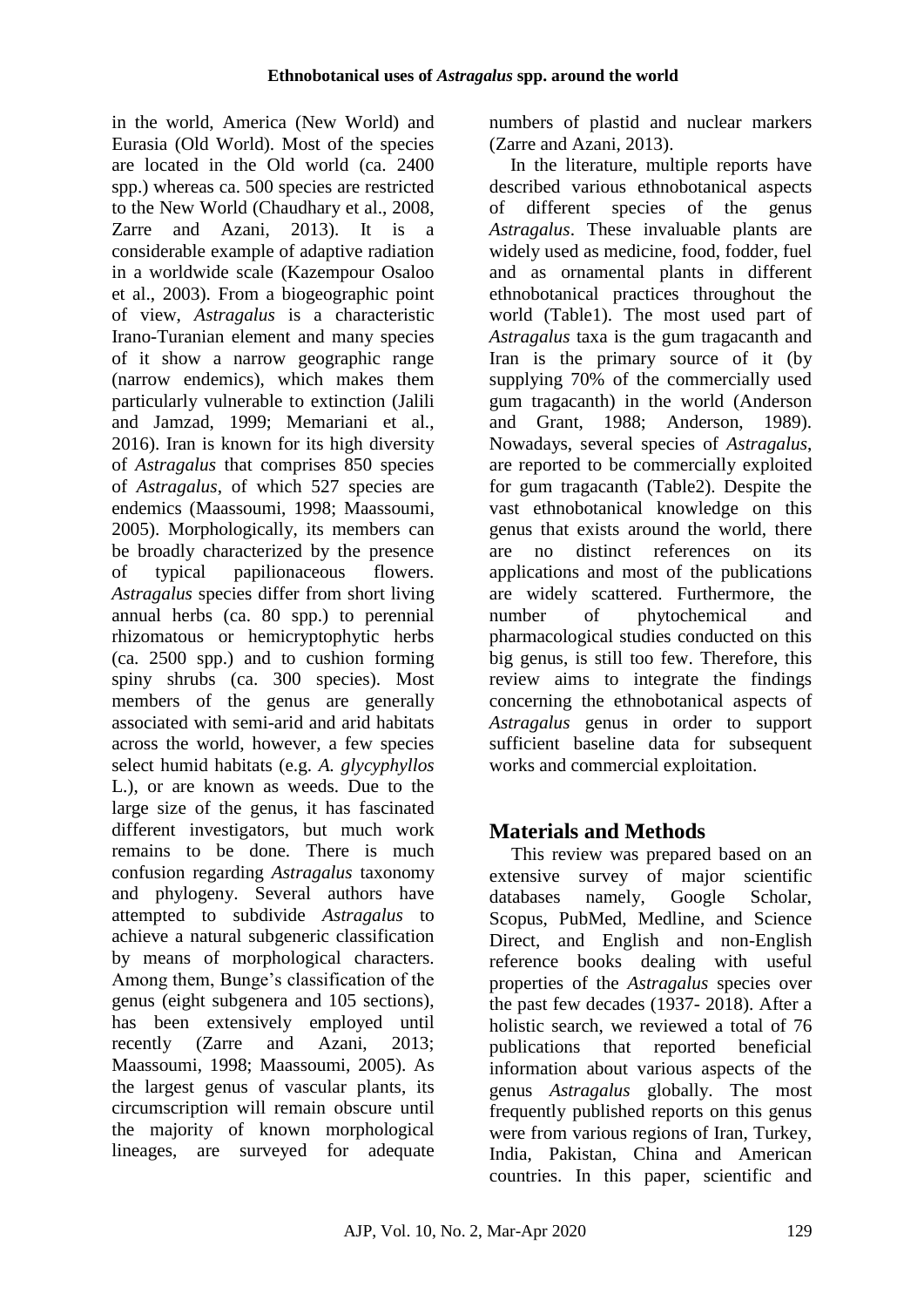in the world, America (New World) and Eurasia (Old World). Most of the species are located in the Old world (ca. 2400 spp.) whereas ca. 500 species are restricted to the New World (Chaudhary et al., 2008, Zarre and Azani, 2013). It is a considerable example of adaptive radiation in a worldwide scale (Kazempour Osaloo et al., 2003). From a biogeographic point of view, *Astragalus* is a characteristic Irano-Turanian element and many species of it show a narrow geographic range (narrow endemics), which makes them particularly vulnerable to extinction (Jalili and Jamzad, 1999; Memariani et al., 2016). Iran is known for its high diversity of *Astragalus* that comprises 850 species of *Astragalus*, of which 527 species are endemics (Maassoumi, 1998; Maassoumi, 2005). Morphologically, its members can be broadly characterized by the presence of typical papilionaceous flowers. *Astragalus* species differ from short living annual herbs (ca. 80 spp.) to perennial rhizomatous or hemicryptophytic herbs (ca. 2500 spp.) and to cushion forming spiny shrubs (ca. 300 species). Most members of the genus are generally associated with semi-arid and arid habitats across the world, however, a few species select humid habitats (e.g. *A. glycyphyllos*  L.), or are known as weeds. Due to the large size of the genus, it has fascinated different investigators, but much work remains to be done. There is much confusion regarding *Astragalus* taxonomy and phylogeny. Several authors have attempted to subdivide *Astragalus* to achieve a natural subgeneric classification by means of morphological characters. Among them, Bunge's classification of the genus (eight subgenera and 105 sections), has been extensively employed until recently (Zarre and Azani, 2013; Maassoumi, 1998; Maassoumi, 2005). As the largest genus of vascular plants, its circumscription will remain obscure until the majority of known morphological lineages, are surveyed for adequate numbers of plastid and nuclear markers (Zarre and Azani, 2013).

In the literature, multiple reports have described various ethnobotanical aspects of different species of the genus *Astragalus*. These invaluable plants are widely used as medicine, food, fodder, fuel and as ornamental plants in different ethnobotanical practices throughout the world (Table1). The most used part of *Astragalus* taxa is the gum tragacanth and Iran is the primary source of it (by supplying 70% of the commercially used gum tragacanth) in the world (Anderson and Grant, 1988; Anderson, 1989). Nowadays, several species of *Astragalus*, are reported to be commercially exploited for gum tragacanth (Table2). Despite the vast ethnobotanical knowledge on this genus that exists around the world, there are no distinct references on its applications and most of the publications are widely scattered. Furthermore, the number of phytochemical and pharmacological studies conducted on this big genus, is still too few. Therefore, this review aims to integrate the findings concerning the ethnobotanical aspects of *Astragalus* genus in order to support sufficient baseline data for subsequent works and commercial exploitation.

# **Materials and Methods**

This review was prepared based on an extensive survey of major scientific databases namely, Google Scholar, Scopus, PubMed, Medline, and Science Direct, and English and non-English reference books dealing with useful properties of the *Astragalus* species over the past few decades (1937- 2018). After a holistic search, we reviewed a total of 76 publications that reported beneficial information about various aspects of the genus *Astragalus* globally. The most frequently published reports on this genus were from various regions of Iran, Turkey, India, Pakistan, China and American countries. In this paper, scientific and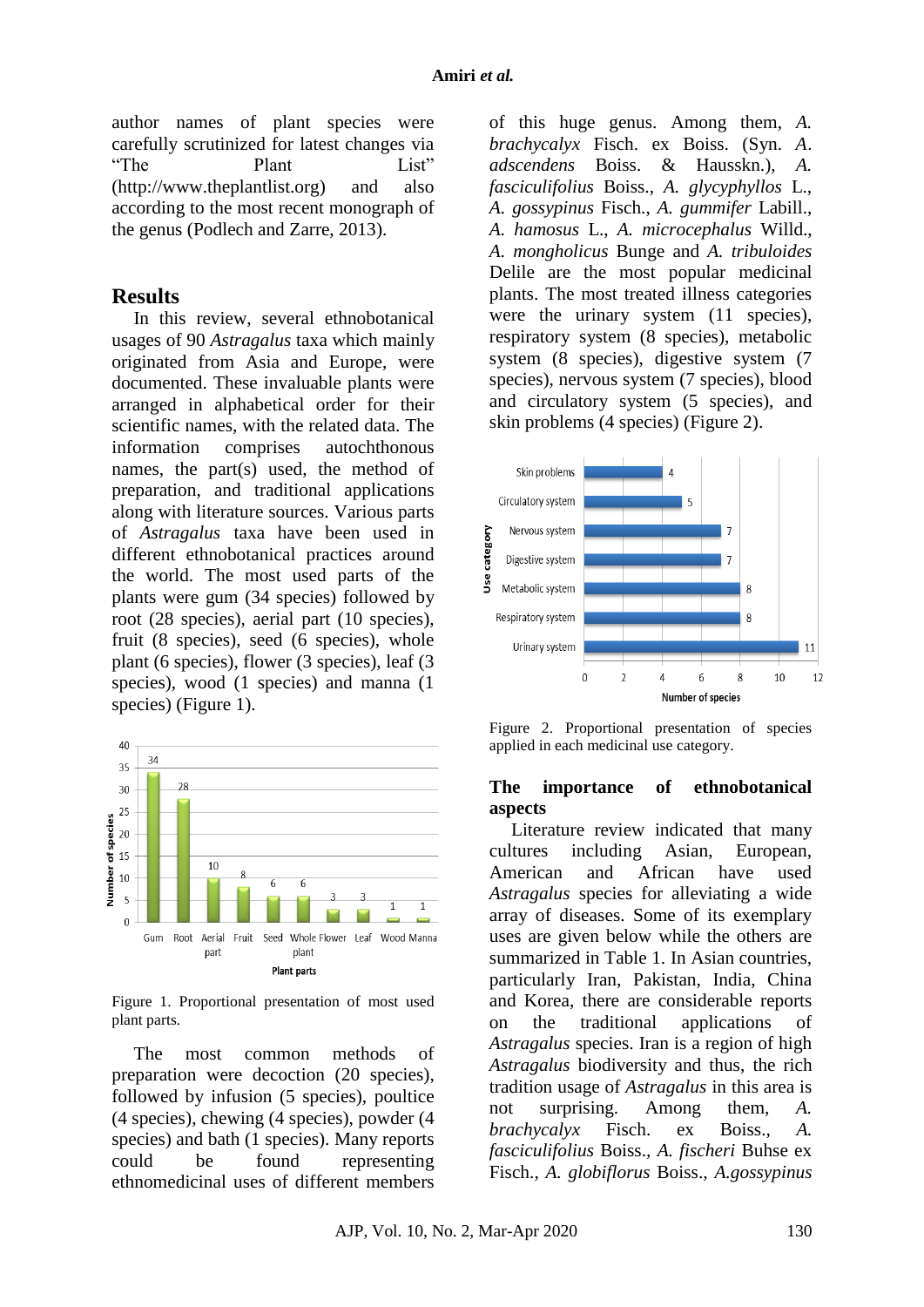author names of plant species were carefully scrutinized for latest changes via "The Plant List" (http://www.theplantlist.org) and also according to the most recent monograph of the genus (Podlech and Zarre, 2013).

## **Results**

In this review, several ethnobotanical usages of 90 *Astragalus* taxa which mainly originated from Asia and Europe, were documented. These invaluable plants were arranged in alphabetical order for their scientific names, with the related data. The information comprises autochthonous names, the part(s) used, the method of preparation, and traditional applications along with literature sources. Various parts of *Astragalus* taxa have been used in different ethnobotanical practices around the world. The most used parts of the plants were gum (34 species) followed by root (28 species), aerial part (10 species), fruit (8 species), seed (6 species), whole plant (6 species), flower (3 species), leaf (3 species), wood (1 species) and manna (1 species) (Figure 1).



Figure 1. Proportional presentation of most used plant parts.

The most common methods of preparation were decoction (20 species), followed by infusion (5 species), poultice (4 species), chewing (4 species), powder (4 species) and bath (1 species). Many reports could be found representing ethnomedicinal uses of different members

of this huge genus. Among them, *A. brachycalyx* Fisch. ex Boiss. (Syn. *A. adscendens* Boiss. & Hausskn.), *A. fasciculifolius* Boiss., *A. glycyphyllos* L., *A. gossypinus* Fisch., *A. gummifer* Labill., *A. hamosus* L., *A. microcephalus* Willd., *A. mongholicus* Bunge and *A. tribuloides* Delile are the most popular medicinal plants. The most treated illness categories were the urinary system (11 species), respiratory system (8 species), metabolic system (8 species), digestive system (7 species), nervous system (7 species), blood and circulatory system (5 species), and skin problems (4 species) (Figure 2).



Figure 2. Proportional presentation of species applied in each medicinal use category.

#### **The importance of ethnobotanical aspects**

Literature review indicated that many cultures including Asian, European, American and African have used *Astragalus* species for alleviating a wide array of diseases. Some of its exemplary uses are given below while the others are summarized in Table 1. In Asian countries, particularly Iran, Pakistan, India, China and Korea, there are considerable reports on the traditional applications of *Astragalus* species. Iran is a region of high *Astragalus* biodiversity and thus, the rich tradition usage of *Astragalus* in this area is not surprising. Among them, *A. brachycalyx* Fisch. ex Boiss.*, A. fasciculifolius* Boiss.*, A. fischeri* Buhse ex Fisch.*, A. globiflorus* Boiss.*, A.gossypinus*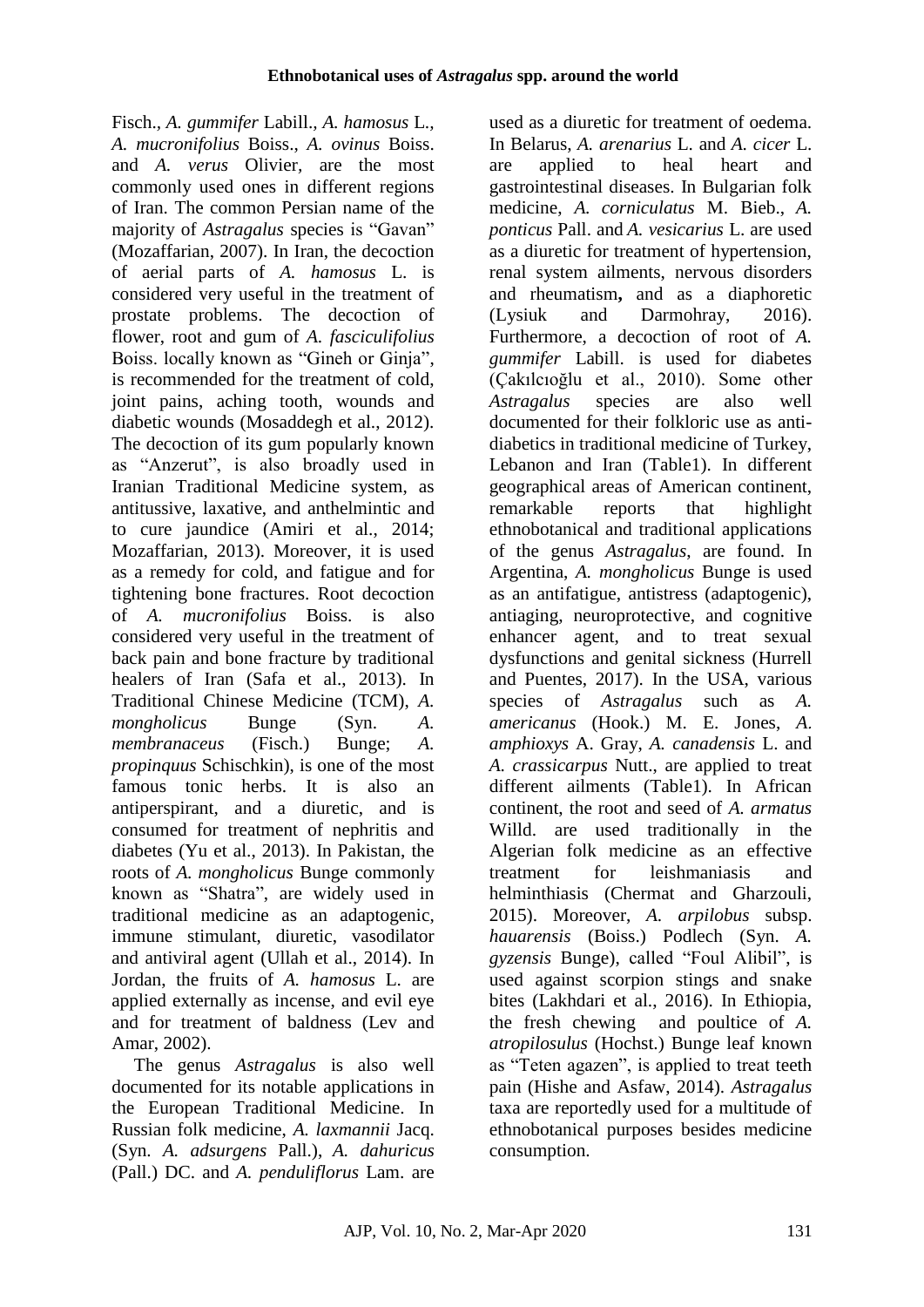Fisch.*, A. gummifer* Labill.*, A. hamosus* L.*, A. mucronifolius* Boiss., *A. ovinus* Boiss. and *A. verus* Olivier*,* are the most commonly used ones in different regions of Iran. The common Persian name of the majority of *Astragalus* species is "Gavan" (Mozaffarian, 2007). In Iran, the decoction of aerial parts of *A. hamosus* L. is considered very useful in the treatment of prostate problems. The decoction of flower, root and gum of *A. fasciculifolius* Boiss. locally known as "Gineh or Ginja", is recommended for the treatment of cold, joint pains, aching tooth, wounds and diabetic wounds (Mosaddegh et al., 2012). The decoction of its gum popularly known as "Anzerut", is also broadly used in Iranian Traditional Medicine system, as antitussive, laxative, and anthelmintic and to cure jaundice (Amiri et al., 2014; Mozaffarian, 2013). Moreover, it is used as a remedy for cold, and fatigue and for tightening bone fractures. Root decoction of *A. mucronifolius* Boiss. is also considered very useful in the treatment of back pain and bone fracture by traditional healers of Iran (Safa et al., 2013). In Traditional Chinese Medicine (TCM), *A. mongholicus* Bunge (Syn. *A. membranaceus* (Fisch.) Bunge; *A. propinquus* Schischkin), is one of the most famous tonic herbs. It is also an antiperspirant, and a diuretic, and is consumed for treatment of nephritis and diabetes (Yu et al., 2013). In Pakistan, the roots of *A. mongholicus* Bunge commonly known as "Shatra", are widely used in traditional medicine as an adaptogenic, immune stimulant, diuretic, vasodilator and antiviral agent (Ullah et al., 2014). In Jordan, the fruits of *A. hamosus* L. are applied externally as incense, and evil eye and for treatment of baldness (Lev and Amar, 2002).

The genus *Astragalus* is also well documented for its notable applications in the European Traditional Medicine. In Russian folk medicine, *A. laxmannii* Jacq. (Syn. *A. [adsurgens](http://www.theplantlist.org/tpl1.1/record/ild-15913)* Pall.), *[A. dahuricus](http://www.theplantlist.org/tpl1.1/record/ild-45029)* [\(Pall.\) DC.](http://www.theplantlist.org/tpl1.1/record/ild-45029) and *[A. penduliflorus](http://www.theplantlist.org/tpl1.1/record/ild-10178)* Lam. are

used as a diuretic for treatment of oedema. In Belarus, *[A. arenarius](http://www.theplantlist.org/tpl1.1/record/ild-8600)* L. and *[A. cicer](http://www.theplantlist.org/tpl1.1/record/ild-8614)* L. are applied to heal heart and gastrointestinal diseases. In Bulgarian folk medicine, *[A.](http://www.theplantlist.org/tpl1.1/record/ild-8600) [corniculatus](http://www.theplantlist.org/tpl1.1/record/ild-8617)* M. Bieb., *[A.](http://www.theplantlist.org/tpl1.1/record/ild-8668)  [ponticus](http://www.theplantlist.org/tpl1.1/record/ild-8668)* Pall. and *[A. vesicarius](http://www.theplantlist.org/tpl1.1/record/ild-8701)* L. are used as a diuretic for treatment of hypertension, renal system ailments, nervous disorders and rheumatism**,** and as a diaphoretic (Lysiuk and Darmohray, 2016). Furthermore, a decoction of root of *A. gummifer* Labill. is used for diabetes (Çakılcıoğlu et al., 2010). Some other *Astragalus* species are also well documented for their folkloric use as antidiabetics in traditional medicine of Turkey, Lebanon and Iran (Table1). In different geographical areas of American continent, remarkable reports that highlight ethnobotanical and traditional applications of the genus *Astragalus*, are found. In Argentina, *[A. mongholicus](http://www.theplantlist.org/tpl1.1/record/ild-31278)* Bunge is used as an antifatigue, antistress (adaptogenic), antiaging, neuroprotective, and cognitive enhancer agent, and to treat sexual dysfunctions and genital sickness (Hurrell and Puentes, 2017). In the USA, various species of *Astragalus* such as *A. americanus* (Hook.) M. E. Jones, *A*. *amphioxys* A. Gray, *A. [canadensis](http://www.theplantlist.org/tpl1.1/record/ild-15256)* L. and *A. [crassicarpus](http://www.theplantlist.org/tpl1.1/record/ild-15288)* Nutt., are applied to treat different ailments (Table1). In African continent, the root and seed of *A. armatus* Willd. are used traditionally in the Algerian folk medicine as an effective treatment for leishmaniasis and helminthiasis (Chermat and Gharzouli, 2015). Moreover, *A. arpilobus* subsp. *hauarensis* (Boiss.) Podlech (Syn. *A. gyzensis* Bunge), called "Foul Alibil", is used against scorpion stings and snake bites (Lakhdari et al., 2016). In Ethiopia, the fresh chewing and poultice of *[A.](http://www.theplantlist.org/tpl1.1/record/ild-7528) atropilosulus* [\(Hochst.\) Bunge](http://www.theplantlist.org/tpl1.1/record/ild-7528) leaf known as "Teten agazen", is applied to treat teeth pain (Hishe and Asfaw, 2014). *Astragalus*  taxa are reportedly used for a multitude of ethnobotanical purposes besides medicine consumption.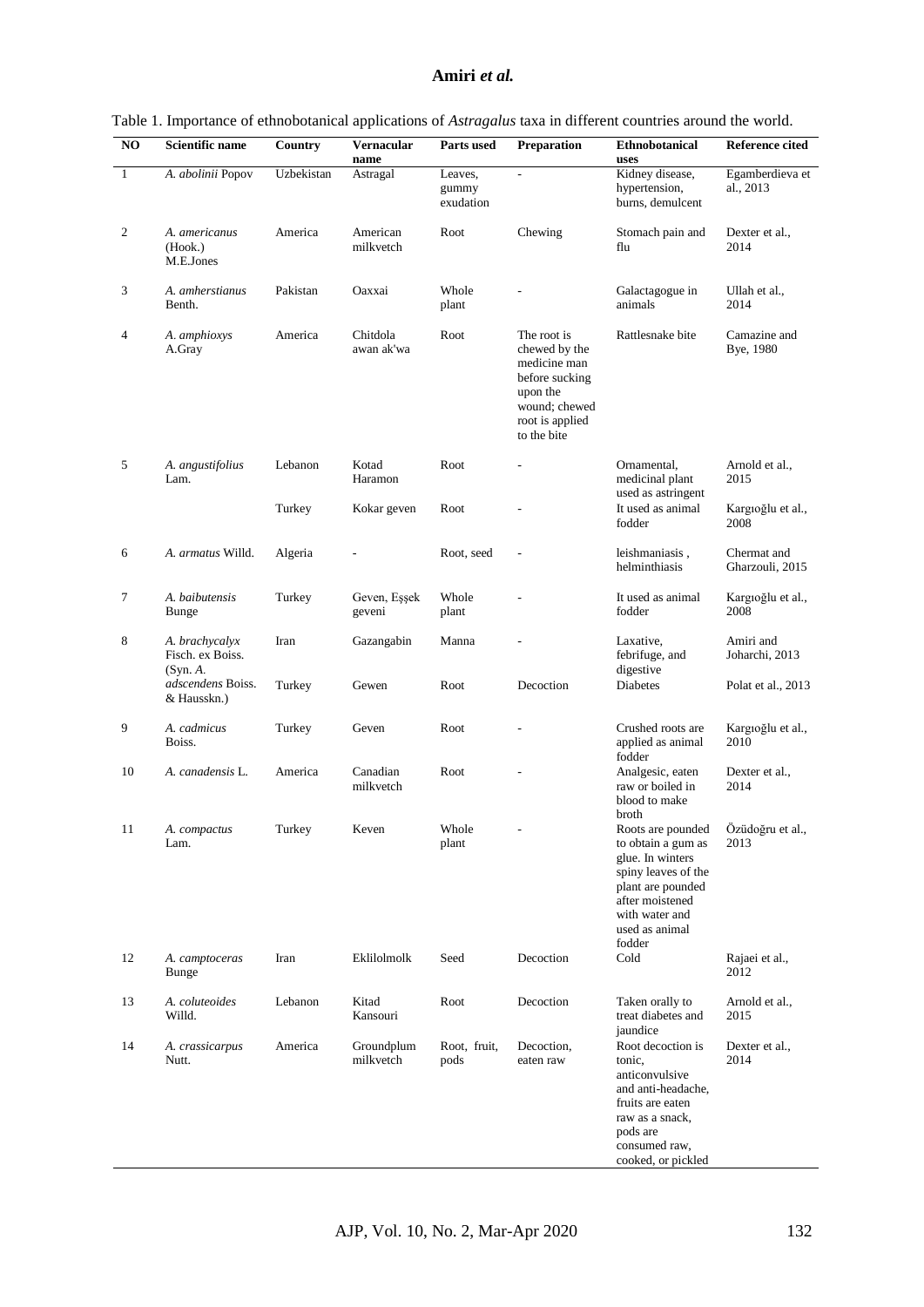#### **Amiri** *et al.*

| NO               | Scientific name                                | Country    | Vernacular<br>name      | Parts used                    | Preparation                                                                                                                   | <b>Ethnobotanical</b><br>uses                                                                                                                                 | <b>Reference cited</b>         |
|------------------|------------------------------------------------|------------|-------------------------|-------------------------------|-------------------------------------------------------------------------------------------------------------------------------|---------------------------------------------------------------------------------------------------------------------------------------------------------------|--------------------------------|
| $\mathbf{1}$     | A. abolinii Popov                              | Uzbekistan | Astragal                | Leaves,<br>gummy<br>exudation | L,                                                                                                                            | Kidney disease,<br>hypertension,<br>burns, demulcent                                                                                                          | Egamberdieva et<br>al., 2013   |
| $\boldsymbol{2}$ | A. americanus<br>(Hook.)<br>M.E.Jones          | America    | American<br>milkvetch   | Root                          | Chewing                                                                                                                       | Stomach pain and<br>flu                                                                                                                                       | Dexter et al.,<br>2014         |
| 3                | A. amherstianus<br>Benth.                      | Pakistan   | Oaxxai                  | Whole<br>plant                |                                                                                                                               | Galactagogue in<br>animals                                                                                                                                    | Ullah et al.,<br>2014          |
| 4                | A. amphioxys<br>A.Gray                         | America    | Chitdola<br>awan ak'wa  | Root                          | The root is<br>chewed by the<br>medicine man<br>before sucking<br>upon the<br>wound; chewed<br>root is applied<br>to the bite | Rattlesnake bite                                                                                                                                              | Camazine and<br>Bye, 1980      |
| 5                | A. angustifolius<br>Lam.                       | Lebanon    | Kotad<br>Haramon        | Root                          |                                                                                                                               | Ornamental.<br>medicinal plant<br>used as astringent                                                                                                          | Arnold et al.,<br>2015         |
|                  |                                                | Turkey     | Kokar geven             | Root                          |                                                                                                                               | It used as animal<br>fodder                                                                                                                                   | Kargioğlu et al.,<br>2008      |
| 6                | A. armatus Willd.                              | Algeria    |                         | Root, seed                    |                                                                                                                               | leishmaniasis,<br>helminthiasis                                                                                                                               | Chermat and<br>Gharzouli, 2015 |
| 7                | A. baibutensis<br><b>Bunge</b>                 | Turkey     | Geven, Eşşek<br>geveni  | Whole<br>plant                |                                                                                                                               | It used as animal<br>fodder                                                                                                                                   | Kargioğlu et al.,<br>2008      |
| 8                | A. brachycalyx<br>Fisch. ex Boiss.<br>(Syn. A. | Iran       | Gazangabin              | Manna                         |                                                                                                                               | Laxative,<br>febrifuge, and<br>digestive                                                                                                                      | Amiri and<br>Joharchi, 2013    |
|                  | adscendens Boiss.<br>& Hausskn.)               | Turkey     | Gewen                   | Root                          | Decoction                                                                                                                     | Diabetes                                                                                                                                                      | Polat et al., 2013             |
| 9                | A. cadmicus<br>Boiss.                          | Turkey     | Geven                   | Root                          |                                                                                                                               | Crushed roots are<br>applied as animal<br>fodder                                                                                                              | Kargioğlu et al.,<br>2010      |
| 10               | A. canadensis L.                               | America    | Canadian<br>milkvetch   | Root                          |                                                                                                                               | Analgesic, eaten<br>raw or boiled in<br>blood to make<br>broth                                                                                                | Dexter et al.,<br>2014         |
| 11               | A. compactus<br>Lam.                           | Turkey     | Keven                   | Whole<br>plant                |                                                                                                                               | to obtain a gum as<br>glue. In winters<br>spiny leaves of the<br>plant are pounded<br>after moistened<br>with water and<br>used as animal<br>fodder           | 2013                           |
| 12               | A. camptoceras<br>Bunge                        | Iran       | Eklilolmolk             | Seed                          | Decoction                                                                                                                     | Cold                                                                                                                                                          | Rajaei et al.,<br>2012         |
| 13               | A. coluteoides<br>Willd.                       | Lebanon    | Kitad<br>Kansouri       | Root                          | Decoction                                                                                                                     | Taken orally to<br>treat diabetes and<br>jaundice                                                                                                             | Arnold et al.,<br>2015         |
| 14               | A. crassicarpus<br>Nutt.                       | America    | Groundplum<br>milkvetch | Root, fruit,<br>pods          | Decoction,<br>eaten raw                                                                                                       | Root decoction is<br>tonic,<br>anticonvulsive<br>and anti-headache,<br>fruits are eaten<br>raw as a snack,<br>pods are<br>consumed raw,<br>cooked, or pickled | Dexter et al.,<br>2014         |

| Table 1. Importance of ethnobotanical applications of Astragalus taxa in different countries around the world. |  |  |  |  |  |  |  |  |  |  |  |  |  |
|----------------------------------------------------------------------------------------------------------------|--|--|--|--|--|--|--|--|--|--|--|--|--|
|----------------------------------------------------------------------------------------------------------------|--|--|--|--|--|--|--|--|--|--|--|--|--|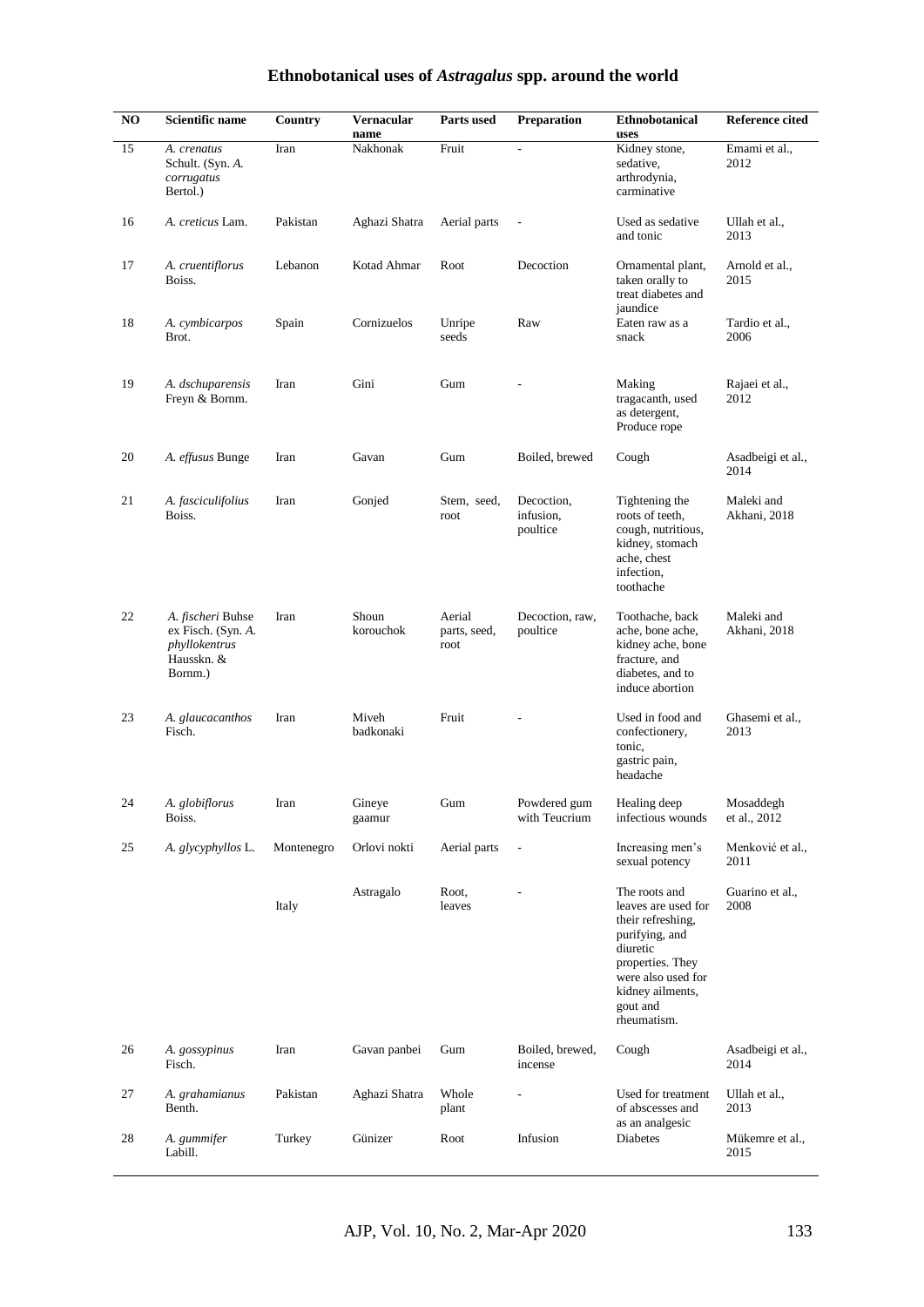| NO | Scientific name                                                                   | <b>Country</b> | Vernacular<br>name | Parts used                     | Preparation                         | Ethnobotanical<br>uses                                                                                                                                                           | <b>Reference cited</b>     |
|----|-----------------------------------------------------------------------------------|----------------|--------------------|--------------------------------|-------------------------------------|----------------------------------------------------------------------------------------------------------------------------------------------------------------------------------|----------------------------|
| 15 | A. crenatus<br>Schult. (Syn. A.<br>corrugatus<br>Bertol.)                         | Iran           | Nakhonak           | Fruit                          | $\overline{a}$                      | Kidney stone,<br>sedative,<br>arthrodynia,<br>carminative                                                                                                                        | Emami et al.,<br>2012      |
| 16 | A. creticus Lam.                                                                  | Pakistan       | Aghazi Shatra      | Aerial parts                   |                                     | Used as sedative<br>and tonic                                                                                                                                                    | Ullah et al.,<br>2013      |
| 17 | A. cruentiflorus<br>Boiss.                                                        | Lebanon        | Kotad Ahmar        | Root                           | Decoction                           | Ornamental plant,<br>taken orally to<br>treat diabetes and<br>jaundice                                                                                                           | Arnold et al.,<br>2015     |
| 18 | A. cymbicarpos<br>Brot.                                                           | Spain          | Cornizuelos        | Unripe<br>seeds                | Raw                                 | Eaten raw as a<br>snack                                                                                                                                                          | Tardio et al.,<br>2006     |
| 19 | A. dschuparensis<br>Freyn & Bornm.                                                | Iran           | Gini               | Gum                            |                                     | Making<br>tragacanth, used<br>as detergent,<br>Produce rope                                                                                                                      | Rajaei et al.,<br>2012     |
| 20 | A. effusus Bunge                                                                  | Iran           | Gavan              | Gum                            | Boiled, brewed                      | Cough                                                                                                                                                                            | Asadbeigi et al.,<br>2014  |
| 21 | A. fasciculifolius<br>Boiss.                                                      | Iran           | Gonjed             | Stem, seed,<br>root            | Decoction,<br>infusion,<br>poultice | Tightening the<br>roots of teeth,<br>cough, nutritious,<br>kidney, stomach<br>ache, chest<br>infection,<br>toothache                                                             | Maleki and<br>Akhani, 2018 |
| 22 | A. fischeri Buhse<br>ex Fisch. (Syn. A.<br>phyllokentrus<br>Hausskn. &<br>Bornm.) | Iran           | Shoun<br>korouchok | Aerial<br>parts, seed,<br>root | Decoction, raw,<br>poultice         | Toothache, back<br>ache, bone ache,<br>kidney ache, bone<br>fracture, and<br>diabetes, and to<br>induce abortion                                                                 | Maleki and<br>Akhani, 2018 |
| 23 | A. glaucacanthos<br>Fisch.                                                        | Iran           | Miveh<br>badkonaki | Fruit                          |                                     | Used in food and<br>confectionery,<br>tonic,<br>gastric pain,<br>headache                                                                                                        | Ghasemi et al.,<br>2013    |
| 24 | A. globiflorus<br>Boiss.                                                          | Iran           | Gineye<br>gaamur   | $\operatorname{Gum}$           | Powdered gum<br>with Teucrium       | Healing deep<br>infectious wounds                                                                                                                                                | Mosaddegh<br>et al., 2012  |
| 25 | A. glycyphyllos L.                                                                | Montenegro     | Orlovi nokti       | Aerial parts                   | $\blacksquare$                      | Increasing men's<br>sexual potency                                                                                                                                               | Menković et al.,<br>2011   |
|    |                                                                                   | Italy          | Astragalo          | Root,<br>leaves                |                                     | The roots and<br>leaves are used for<br>their refreshing,<br>purifying, and<br>diuretic<br>properties. They<br>were also used for<br>kidney ailments,<br>gout and<br>rheumatism. | Guarino et al.,<br>2008    |
| 26 | A. gossypinus<br>Fisch.                                                           | Iran           | Gavan panbei       | Gum                            | Boiled, brewed,<br>incense          | Cough                                                                                                                                                                            | Asadbeigi et al.,<br>2014  |
| 27 | A. grahamianus<br>Benth.                                                          | Pakistan       | Aghazi Shatra      | Whole<br>plant                 |                                     | Used for treatment<br>of abscesses and<br>as an analgesic                                                                                                                        | Ullah et al.,<br>2013      |
| 28 | A. gummifer<br>Labill.                                                            | Turkey         | Günizer            | Root                           | Infusion                            | Diabetes                                                                                                                                                                         | Mükemre et al.,<br>2015    |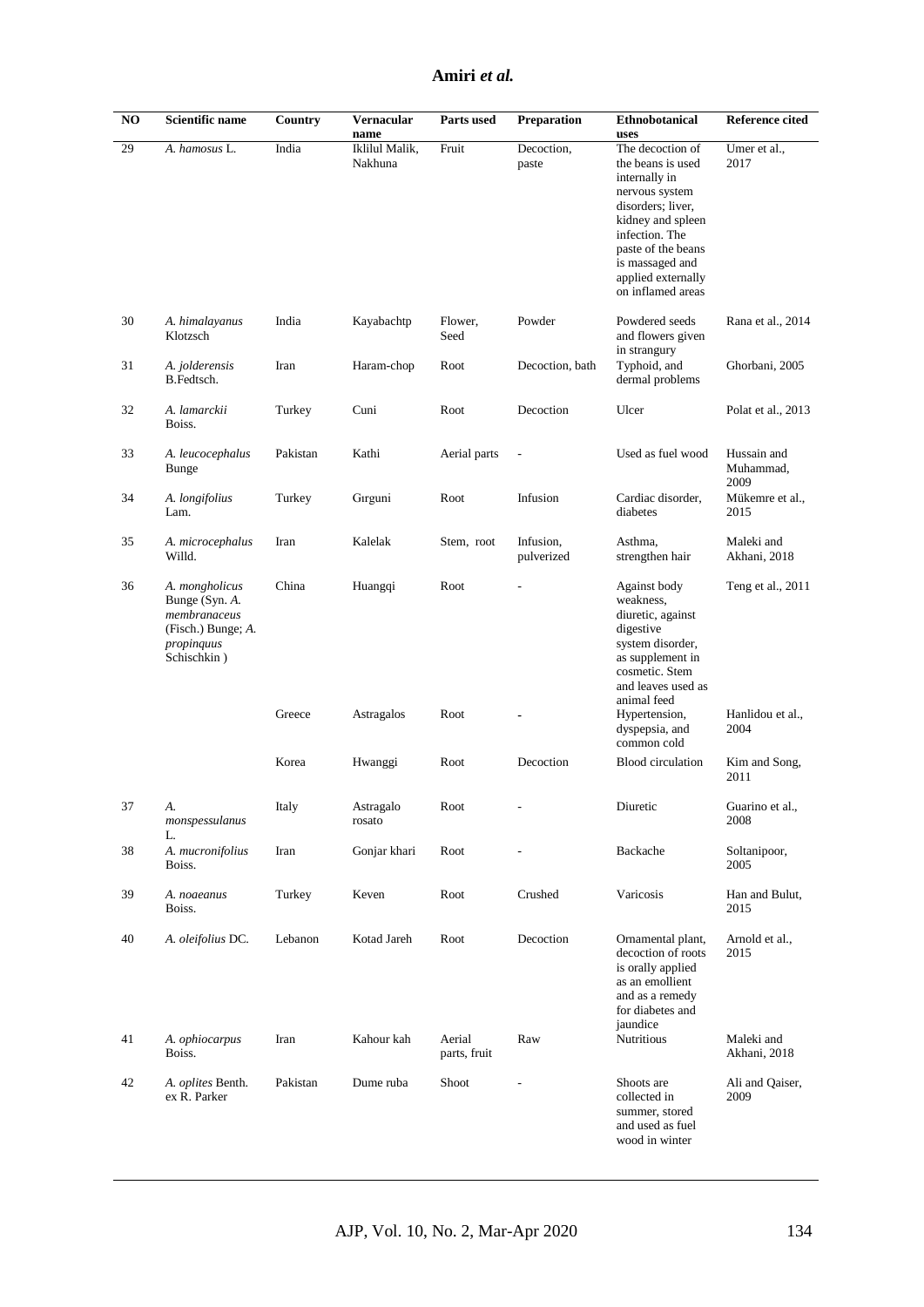#### **Amiri** *et al.*

| $\bf NO$ | Scientific name                                                                                     | Country  | Vernacular<br>name        | Parts used             | <b>Preparation</b>      | <b>Ethnobotanical</b><br>uses                                                                                                                                                                                            | Reference cited                  |
|----------|-----------------------------------------------------------------------------------------------------|----------|---------------------------|------------------------|-------------------------|--------------------------------------------------------------------------------------------------------------------------------------------------------------------------------------------------------------------------|----------------------------------|
| 29       | A. hamosus L.                                                                                       | India    | Iklilul Malik,<br>Nakhuna | Fruit                  | Decoction,<br>paste     | The decoction of<br>the beans is used<br>internally in<br>nervous system<br>disorders; liver,<br>kidney and spleen<br>infection. The<br>paste of the beans<br>is massaged and<br>applied externally<br>on inflamed areas | Umer et al.,<br>2017             |
| 30       | A. himalayanus<br>Klotzsch                                                                          | India    | Kayabachtp                | Flower,<br>Seed        | Powder                  | Powdered seeds<br>and flowers given<br>in strangury                                                                                                                                                                      | Rana et al., 2014                |
| 31       | A. jolderensis<br>B.Fedtsch.                                                                        | Iran     | Haram-chop                | Root                   | Decoction, bath         | Typhoid, and<br>dermal problems                                                                                                                                                                                          | Ghorbani, 2005                   |
| 32       | A. lamarckii<br>Boiss.                                                                              | Turkey   | Cuni                      | Root                   | Decoction               | Ulcer                                                                                                                                                                                                                    | Polat et al., 2013               |
| 33       | A. leucocephalus<br>Bunge                                                                           | Pakistan | Kathi                     | Aerial parts           |                         | Used as fuel wood                                                                                                                                                                                                        | Hussain and<br>Muhammad,<br>2009 |
| 34       | A. longifolius<br>Lam.                                                                              | Turkey   | Gırguni                   | Root                   | Infusion                | Cardiac disorder,<br>diabetes                                                                                                                                                                                            | Mükemre et al.,<br>2015          |
| 35       | A. microcephalus<br>Willd.                                                                          | Iran     | Kalelak                   | Stem, root             | Infusion,<br>pulverized | Asthma,<br>strengthen hair                                                                                                                                                                                               | Maleki and<br>Akhani, 2018       |
| 36       | A. mongholicus<br>Bunge (Syn. A.<br>membranaceus<br>(Fisch.) Bunge; A.<br>propinquus<br>Schischkin) | China    | Huangqi                   | Root                   |                         | Against body<br>weakness,<br>diuretic, against<br>digestive<br>system disorder,<br>as supplement in<br>cosmetic. Stem<br>and leaves used as<br>animal feed                                                               | Teng et al., 2011                |
|          |                                                                                                     | Greece   | Astragalos                | Root                   |                         | Hypertension,<br>dyspepsia, and<br>common cold                                                                                                                                                                           | Hanlidou et al.,<br>2004         |
|          |                                                                                                     | Korea    | Hwanggi                   | Root                   | Decoction               | <b>Blood</b> circulation                                                                                                                                                                                                 | Kim and Song,<br>2011            |
| 37       | А.<br>monspessulanus<br>L.                                                                          | Italy    | Astragalo<br>rosato       | Root                   |                         | Diuretic                                                                                                                                                                                                                 | Guarino et al.,<br>2008          |
| 38       | A. mucronifolius<br>Boiss.                                                                          | Iran     | Gonjar khari              | Root                   |                         | Backache                                                                                                                                                                                                                 | Soltanipoor,<br>2005             |
| 39       | A. noaeanus<br>Boiss.                                                                               | Turkey   | Keven                     | Root                   | Crushed                 | Varicosis                                                                                                                                                                                                                | Han and Bulut,<br>2015           |
| 40       | A. oleifolius DC.                                                                                   | Lebanon  | Kotad Jareh               | Root                   | Decoction               | Ornamental plant,<br>decoction of roots<br>is orally applied<br>as an emollient<br>and as a remedy<br>for diabetes and<br>jaundice                                                                                       | Arnold et al.,<br>2015           |
| 41       | A. ophiocarpus<br>Boiss.                                                                            | Iran     | Kahour kah                | Aerial<br>parts, fruit | Raw                     | Nutritious                                                                                                                                                                                                               | Maleki and<br>Akhani, 2018       |
| 42       | A. oplites Benth.<br>ex R. Parker                                                                   | Pakistan | Dume ruba                 | Shoot                  |                         | Shoots are<br>collected in<br>summer, stored<br>and used as fuel<br>wood in winter                                                                                                                                       | Ali and Qaiser,<br>2009          |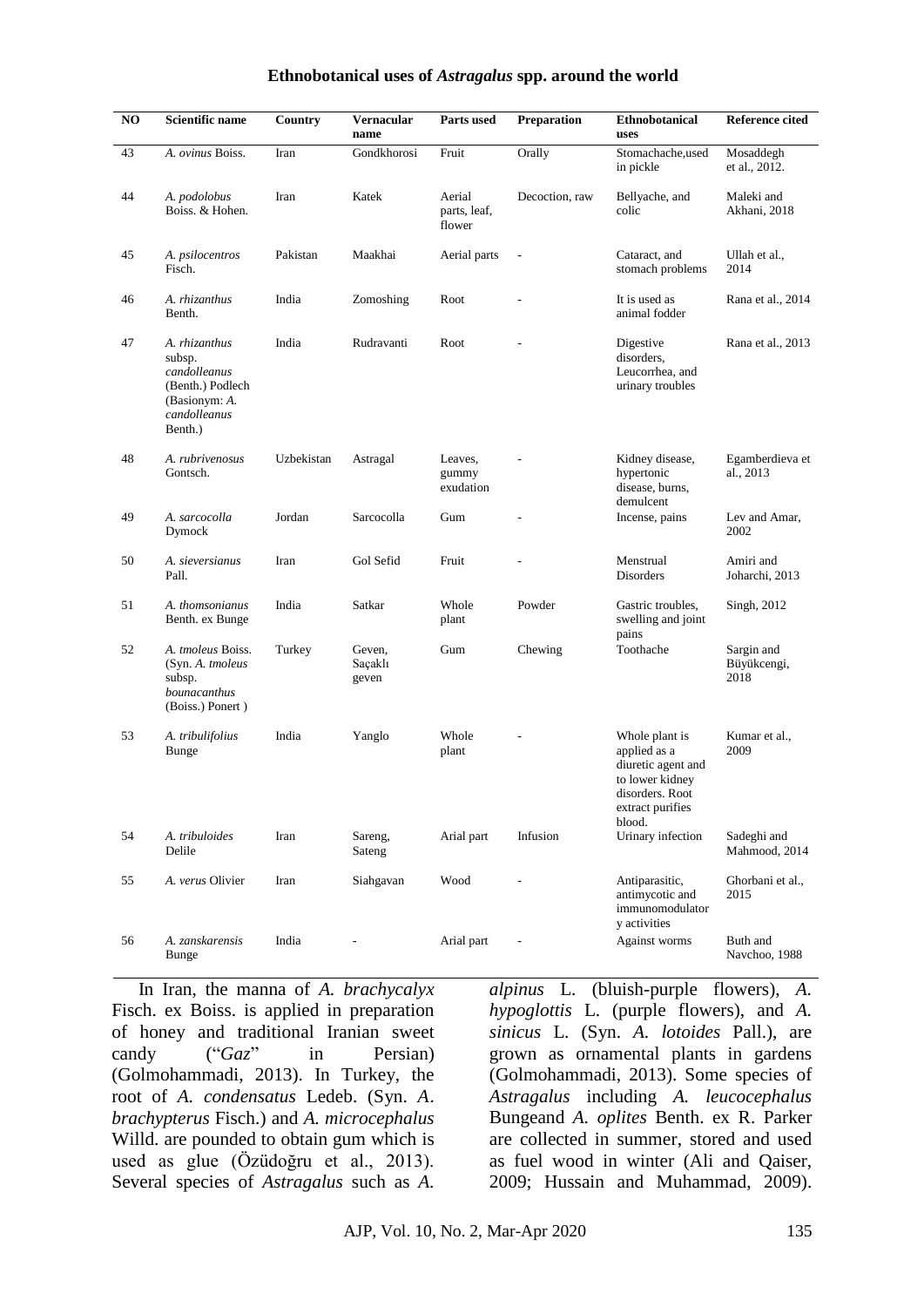#### **Ethnobotanical uses of** *Astragalus* **spp. around the world**

| NO | Scientific name                                                                                         | Country    | Vernacular<br>name         | Parts used                       | Preparation                  | <b>Ethnobotanical</b><br>uses                                                                                            | <b>Reference cited</b>            |
|----|---------------------------------------------------------------------------------------------------------|------------|----------------------------|----------------------------------|------------------------------|--------------------------------------------------------------------------------------------------------------------------|-----------------------------------|
| 43 | A. ovinus Boiss.                                                                                        | Iran       | Gondkhorosi                | Fruit                            | Orally                       | Stomachache, used<br>in pickle                                                                                           | Mosaddegh<br>et al., 2012.        |
| 44 | A. podolobus<br>Boiss. & Hohen.                                                                         | Iran       | Katek                      | Aerial<br>parts, leaf,<br>flower | Decoction, raw               | Bellyache, and<br>colic                                                                                                  | Maleki and<br>Akhani, 2018        |
| 45 | A. psilocentros<br>Fisch.                                                                               | Pakistan   | Maakhai                    | Aerial parts                     |                              | Cataract, and<br>stomach problems                                                                                        | Ullah et al.,<br>2014             |
| 46 | A. rhizanthus<br>Benth.                                                                                 | India      | Zomoshing                  | Root                             |                              | It is used as<br>animal fodder                                                                                           | Rana et al., 2014                 |
| 47 | A. rhizanthus<br>subsp.<br>candolleanus<br>(Benth.) Podlech<br>(Basionym: A.<br>candolleanus<br>Benth.) | India      | Rudravanti                 | Root                             |                              | Digestive<br>disorders,<br>Leucorrhea, and<br>urinary troubles                                                           | Rana et al., 2013                 |
| 48 | A. rubrivenosus<br>Gontsch.                                                                             | Uzbekistan | Astragal                   | Leaves,<br>gummy<br>exudation    |                              | Kidney disease,<br>hypertonic<br>disease, burns,<br>demulcent                                                            | Egamberdieva et<br>al., 2013      |
| 49 | A. sarcocolla<br>Dymock                                                                                 | Jordan     | Sarcocolla                 | Gum                              |                              | Incense, pains                                                                                                           | Lev and Amar,<br>2002             |
| 50 | A. sieversianus<br>Pall.                                                                                | Iran       | Gol Sefid                  | Fruit                            |                              | Menstrual<br>Disorders                                                                                                   | Amiri and<br>Joharchi, 2013       |
| 51 | A. thomsonianus<br>Benth. ex Bunge                                                                      | India      | Satkar                     | Whole<br>plant                   | Powder                       | Gastric troubles,<br>swelling and joint<br>pains                                                                         | Singh, 2012                       |
| 52 | A. tmoleus Boiss.<br>(Syn. A. tmoleus<br>subsp.<br>bounacanthus<br>(Boiss.) Ponert)                     | Turkey     | Geven,<br>Saçaklı<br>geven | Gum                              | Chewing                      | Toothache                                                                                                                | Sargin and<br>Büyükcengi,<br>2018 |
| 53 | A. tribulifolius<br><b>Bunge</b>                                                                        | India      | Yanglo                     | Whole<br>plant                   |                              | Whole plant is<br>applied as a<br>diuretic agent and<br>to lower kidney<br>disorders. Root<br>extract purifies<br>blood. | Kumar et al.,<br>2009             |
| 54 | A. tribuloides<br>Delile                                                                                | Iran       | Sareng,<br>Sateng          | Arial part                       | Infusion                     | Urinary infection                                                                                                        | Sadeghi and<br>Mahmood, 2014      |
| 55 | A. verus Olivier                                                                                        | Iran       | Siahgavan                  | Wood                             |                              | Antiparasitic,<br>antimycotic and<br>immunomodulator<br>y activities                                                     | Ghorbani et al.,<br>2015          |
| 56 | A. zanskarensis<br>Bunge                                                                                | India      | $\overline{a}$             | Arial part                       | $\qquad \qquad \blacksquare$ | Against worms                                                                                                            | Buth and<br>Navchoo, 1988         |

In Iran, the manna of *A. brachycalyx* Fisch. ex Boiss. is applied in preparation of honey and traditional Iranian sweet candy ("*Gaz*" in Persian) (Golmohammadi, 2013). In Turkey, the root of *A. condensatus* Ledeb. (Syn. *A. brachypterus* Fisch.) and *A. microcephalus* Willd. are pounded to obtain gum which is used as glue (Özüdoğru et al., 2013). Several species of *Astragalus* such as *[A.](http://www.theplantlist.org/tpl1.1/record/ild-10175)* 

*[alpinus](http://www.theplantlist.org/tpl1.1/record/ild-10175)* L. (bluish-purple flowers), *[A.](http://www.theplantlist.org/tpl1.1/record/ild-32061)  [hypoglottis](http://www.theplantlist.org/tpl1.1/record/ild-32061)* L. (purple flowers), and *A. sinicus* L. (Syn. *A. lotoides* Pall.), are grown as ornamental plants in gardens (Golmohammadi, 2013). Some species of *Astragalus* including *A. [leucocephalus](http://www.theplantlist.org/tpl1.1/record/ild-36450)* [Bungea](http://www.theplantlist.org/tpl1.1/record/ild-36450)nd *A. oplites* Benth. ex R. Parker are collected in summer, stored and used as fuel wood in winter (Ali and Qaiser, 2009; Hussain and Muhammad, 2009).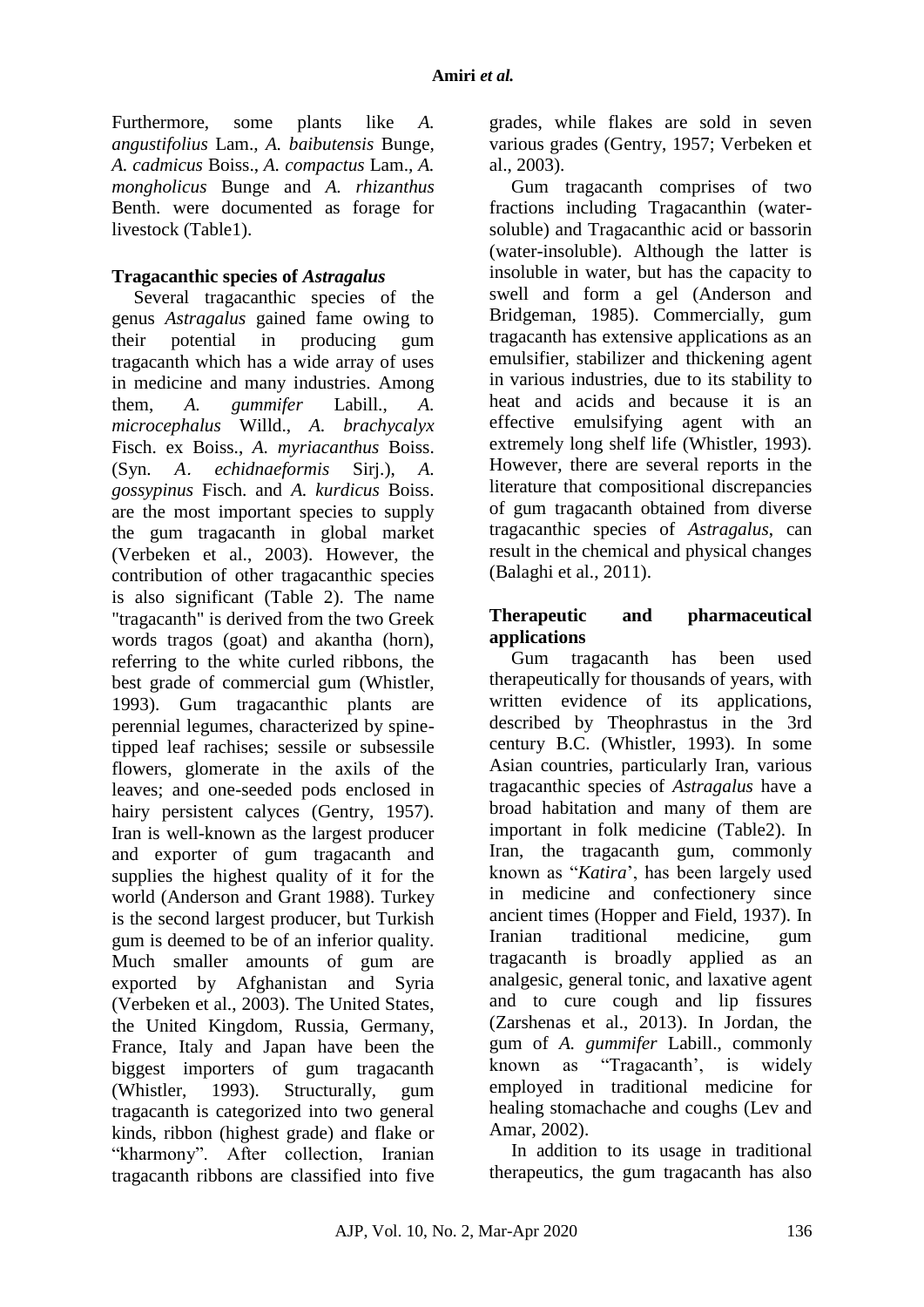Furthermore, some plants like *A. angustifolius* Lam.*, A. baibutensis* Bunge*, A. cadmicus* Boiss., *A. compactus* Lam.*, A. mongholicus* Bunge and *A. rhizanthus* Benth. were documented as forage for livestock (Table1).

### **Tragacanthic species of** *Astragalus*

Several tragacanthic species of the genus *Astragalus* gained fame owing to their potential in producing gum tragacanth which has a wide array of uses in medicine and many industries. Among them, *A. gummifer* Labill., *A. microcephalus* Willd., *A. brachycalyx* Fisch. ex Boiss., *A. myriacanthus* Boiss. (Syn. *A. echidnaeformis* Sirj.), *A. gossypinus* Fisch. and *A. kurdicus* Boiss. are the most important species to supply the gum tragacanth in global market (Verbeken et al., 2003). However, the contribution of other tragacanthic species is also significant (Table 2). The name "tragacanth" is derived from the two Greek words tragos (goat) and akantha (horn), referring to the white curled ribbons, the best grade of commercial gum (Whistler, 1993). Gum tragacanthic plants are perennial legumes, characterized by spinetipped leaf rachises; sessile or subsessile flowers, glomerate in the axils of the leaves; and one-seeded pods enclosed in hairy persistent calyces (Gentry, 1957). Iran is well-known as the largest producer and exporter of gum tragacanth and supplies the highest quality of it for the world (Anderson and Grant 1988). Turkey is the second largest producer, but Turkish gum is deemed to be of an inferior quality. Much smaller amounts of gum are exported by Afghanistan and Syria (Verbeken et al., 2003). The United States, the United Kingdom, Russia, Germany, France, Italy and Japan have been the biggest importers of gum tragacanth (Whistler, 1993). Structurally, gum tragacanth is categorized into two general kinds, ribbon (highest grade) and flake or "kharmony". After collection, Iranian tragacanth ribbons are classified into five grades, while flakes are sold in seven various grades (Gentry, 1957; Verbeken et al., 2003).

Gum tragacanth comprises of two fractions including Tragacanthin (watersoluble) and Tragacanthic acid or bassorin (water-insoluble). Although the latter is insoluble in water, but has the capacity to swell and form a gel (Anderson and Bridgeman, 1985). Commercially, gum tragacanth has extensive applications as an emulsifier, stabilizer and thickening agent in various industries, due to its stability to heat and acids and because it is an effective emulsifying agent with an extremely long shelf life (Whistler, 1993). However, there are several reports in the literature that compositional discrepancies of gum tragacanth obtained from diverse tragacanthic species of *Astragalus*, can result in the chemical and physical changes (Balaghi et al., 2011).

### **Therapeutic and pharmaceutical applications**

Gum tragacanth has been used therapeutically for thousands of years, with written evidence of its applications, described by Theophrastus in the 3rd century B.C. (Whistler, 1993). In some Asian countries, particularly Iran, various tragacanthic species of *Astragalus* have a broad habitation and many of them are important in folk medicine (Table2). In Iran, the tragacanth gum, commonly known as "*Katira*', has been largely used in medicine and confectionery since ancient times (Hopper and Field, 1937). In Iranian traditional medicine, gum tragacanth is broadly applied as an analgesic, general tonic, and laxative agent and to cure cough and lip fissures (Zarshenas et al., 2013). In Jordan, the gum of *A. gummifer* Labill., commonly known as "Tragacanth', is widely employed in traditional medicine for healing stomachache and coughs (Lev and Amar, 2002).

In addition to its usage in traditional therapeutics, the gum tragacanth has also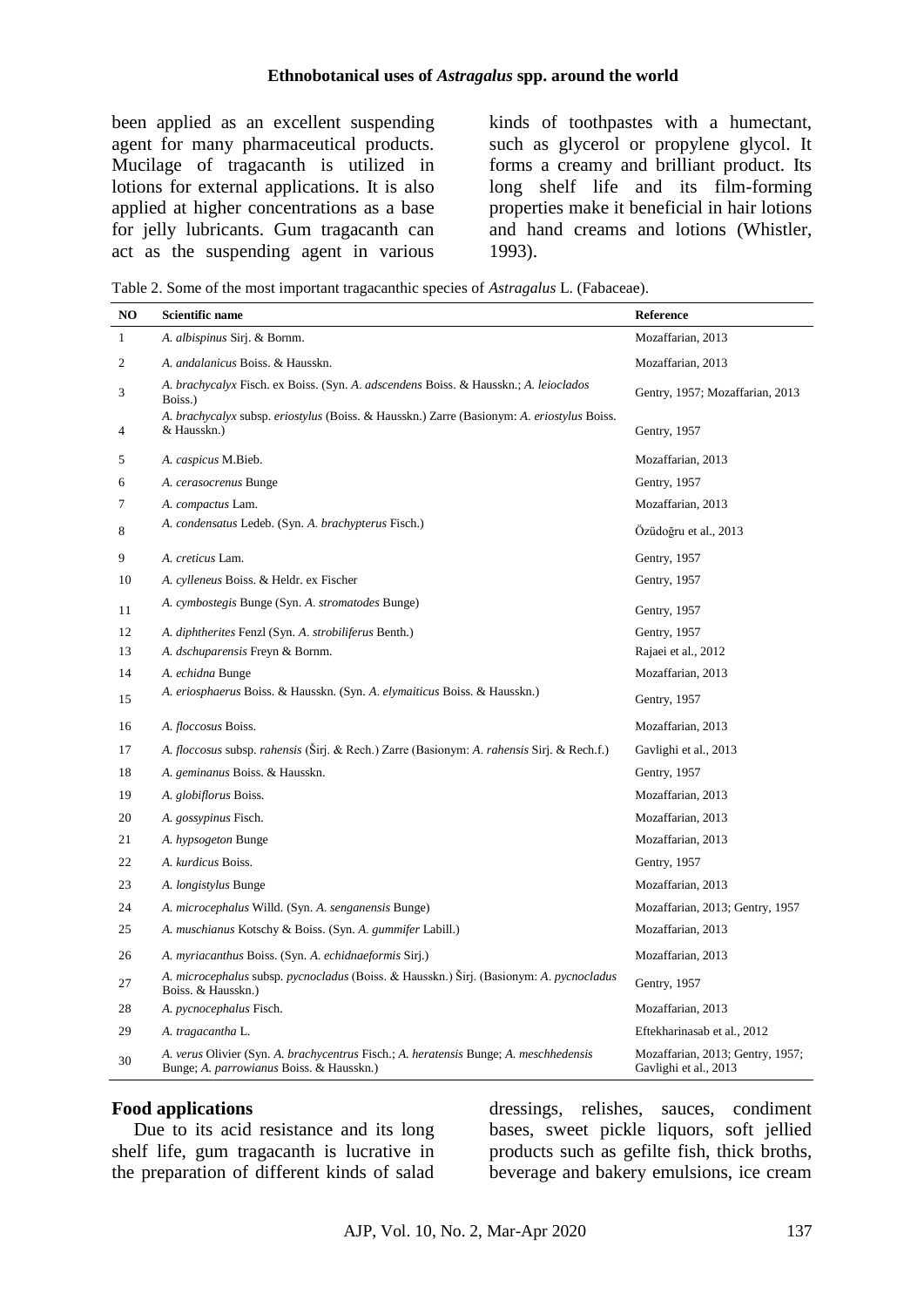been applied as an excellent suspending agent for many pharmaceutical products. Mucilage of tragacanth is utilized in lotions for external applications. It is also applied at higher concentrations as a base for jelly lubricants. Gum tragacanth can act as the suspending agent in various

kinds of toothpastes with a humectant, such as glycerol or propylene glycol. It forms a creamy and brilliant product. Its long shelf life and its film-forming properties make it beneficial in hair lotions and hand creams and lotions (Whistler, 1993).

Table 2. Some of the most important tragacanthic species of *Astragalus* L. (Fabaceae).

| NO           | <b>Scientific name</b>                                                                                                            | Reference                                                 |
|--------------|-----------------------------------------------------------------------------------------------------------------------------------|-----------------------------------------------------------|
| $\mathbf{1}$ | A. albispinus Sirj. & Bornm.                                                                                                      | Mozaffarian, 2013                                         |
| 2            | A. andalanicus Boiss. & Hausskn.                                                                                                  | Mozaffarian, 2013                                         |
| 3            | A. brachycalyx Fisch. ex Boiss. (Syn. A. adscendens Boiss. & Hausskn.; A. leioclados<br>Boiss.)                                   | Gentry, 1957; Mozaffarian, 2013                           |
| 4            | A. brachycalyx subsp. eriostylus (Boiss. & Hausskn.) Zarre (Basionym: A. eriostylus Boiss.<br>& Hausskn.)                         | Gentry, 1957                                              |
| 5            | A. caspicus M.Bieb.                                                                                                               | Mozaffarian, 2013                                         |
| 6            | A. cerasocrenus Bunge                                                                                                             | Gentry, 1957                                              |
| 7            | A. compactus Lam.                                                                                                                 | Mozaffarian, 2013                                         |
| 8            | A. condensatus Ledeb. (Syn. A. brachypterus Fisch.)                                                                               | Özüdoğru et al., 2013                                     |
| 9            | A. creticus Lam.                                                                                                                  | Gentry, 1957                                              |
| 10           | A. cylleneus Boiss. & Heldr. ex Fischer                                                                                           | Gentry, 1957                                              |
| 11           | A. cymbostegis Bunge (Syn. A. stromatodes Bunge)                                                                                  | Gentry, 1957                                              |
| 12           | A. diphtherites Fenzl (Syn. A. strobiliferus Benth.)                                                                              | Gentry, 1957                                              |
| 13           | A. dschuparensis Freyn & Bornm.                                                                                                   | Rajaei et al., 2012                                       |
| 14           | A. echidna Bunge                                                                                                                  | Mozaffarian, 2013                                         |
| 15           | A. eriosphaerus Boiss. & Hausskn. (Syn. A. elymaiticus Boiss. & Hausskn.)                                                         | Gentry, 1957                                              |
| 16           | A. floccosus Boiss.                                                                                                               | Mozaffarian, 2013                                         |
| 17           | A. floccosus subsp. rahensis (Širj. & Rech.) Zarre (Basionym: A. rahensis Sirj. & Rech.f.)                                        | Gavlighi et al., 2013                                     |
| 18           | A. geminanus Boiss. & Hausskn.                                                                                                    | Gentry, 1957                                              |
| 19           | A. globiflorus Boiss.                                                                                                             | Mozaffarian, 2013                                         |
| 20           | A. gossypinus Fisch.                                                                                                              | Mozaffarian, 2013                                         |
| 21           | A. hypsogeton Bunge                                                                                                               | Mozaffarian, 2013                                         |
| 22           | A. kurdicus Boiss.                                                                                                                | Gentry, 1957                                              |
| 23           | A. <i>longistylus</i> Bunge                                                                                                       | Mozaffarian, 2013                                         |
| 24           | A. microcephalus Willd. (Syn. A. senganensis Bunge)                                                                               | Mozaffarian, 2013; Gentry, 1957                           |
| 25           | A. muschianus Kotschy & Boiss. (Syn. A. gummifer Labill.)                                                                         | Mozaffarian, 2013                                         |
| 26           | A. myriacanthus Boiss. (Syn. A. echidnaeformis Sirj.)                                                                             | Mozaffarian, 2013                                         |
| 27           | A. microcephalus subsp. pycnocladus (Boiss. & Hausskn.) Širj. (Basionym: A. pycnocladus<br>Boiss. & Hausskn.)                     | Gentry, 1957                                              |
| 28           | A. pycnocephalus Fisch.                                                                                                           | Mozaffarian, 2013                                         |
| 29           | A. tragacantha L.                                                                                                                 | Eftekharinasab et al., 2012                               |
| 30           | A. verus Olivier (Syn. A. brachycentrus Fisch.; A. heratensis Bunge; A. meschhedensis<br>Bunge; A. parrowianus Boiss. & Hausskn.) | Mozaffarian, 2013; Gentry, 1957;<br>Gavlighi et al., 2013 |

#### **Food applications**

Due to its acid resistance and its long shelf life, gum tragacanth is lucrative in the preparation of different kinds of salad

dressings, relishes, sauces, condiment bases, sweet pickle liquors, soft jellied products such as gefilte fish, thick broths, beverage and bakery emulsions, ice cream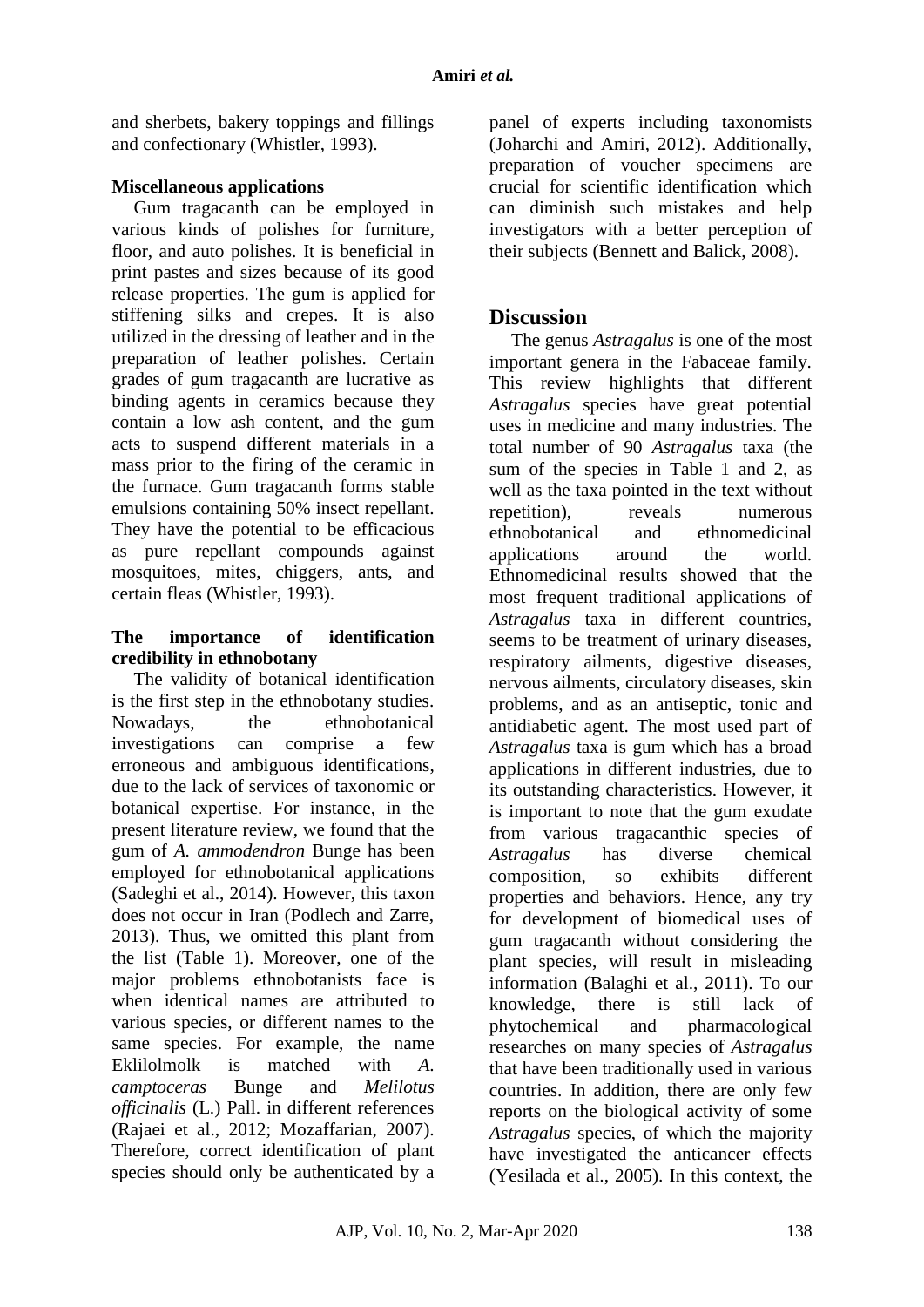and sherbets, bakery toppings and fillings and confectionary (Whistler, 1993).

## **Miscellaneous applications**

Gum tragacanth can be employed in various kinds of polishes for furniture, floor, and auto polishes. It is beneficial in print pastes and sizes because of its good release properties. The gum is applied for stiffening silks and crepes. It is also utilized in the dressing of leather and in the preparation of leather polishes. Certain grades of gum tragacanth are lucrative as binding agents in ceramics because they contain a low ash content, and the gum acts to suspend different materials in a mass prior to the firing of the ceramic in the furnace. Gum tragacanth forms stable emulsions containing 50% insect repellant. They have the potential to be efficacious as pure repellant compounds against mosquitoes, mites, chiggers, ants, and certain fleas (Whistler, 1993).

### **The importance of identification credibility in ethnobotany**

The validity of botanical identification is the first step in the ethnobotany studies. Nowadays, the ethnobotanical investigations can comprise a few erroneous and ambiguous identifications, due to the lack of services of taxonomic or botanical expertise. For instance, in the present literature review, we found that the gum of *A. ammodendron* Bunge has been employed for ethnobotanical applications (Sadeghi et al., 2014). However, this taxon does not occur in Iran (Podlech and Zarre, 2013). Thus, we omitted this plant from the list (Table 1). Moreover, one of the major problems ethnobotanists face is when identical names are attributed to various species, or different names to the same species. For example, the name Eklilolmolk is matched with *A. camptoceras* Bunge and *Melilotus officinalis* (L.) Pall. in different references (Rajaei et al., 2012; Mozaffarian, 2007). Therefore, correct identification of plant species should only be authenticated by a panel of experts including taxonomists (Joharchi and Amiri, 2012). Additionally, preparation of voucher specimens are crucial for scientific identification which can diminish such mistakes and help investigators with a better perception of their subjects (Bennett and Balick, 2008).

# **Discussion**

The genus *Astragalus* is one of the most important genera in the Fabaceae family. This review highlights that different *Astragalus* species have great potential uses in medicine and many industries. The total number of 90 *Astragalus* taxa (the sum of the species in Table 1 and 2, as well as the taxa pointed in the text without repetition), reveals numerous ethnobotanical and ethnomedicinal applications around the world. Ethnomedicinal results showed that the most frequent traditional applications of *Astragalus* taxa in different countries, seems to be treatment of urinary diseases, respiratory ailments, digestive diseases*,*  nervous ailments, circulatory diseases, skin problems, and as an antiseptic, tonic and antidiabetic agent. The most used part of *Astragalus* taxa is gum which has a broad applications in different industries, due to its outstanding characteristics. However, it is important to note that the gum exudate from various tragacanthic species of *Astragalus* has diverse chemical composition, so exhibits different properties and behaviors. Hence, any try for development of biomedical uses of gum tragacanth without considering the plant species, will result in misleading information (Balaghi et al., 2011). To our knowledge, there is still lack of phytochemical and pharmacological researches on many species of *Astragalus* that have been traditionally used in various countries. In addition, there are only few reports on the biological activity of some *Astragalus* species, of which the majority have investigated the anticancer effects (Yesilada et al., 2005). In this context, the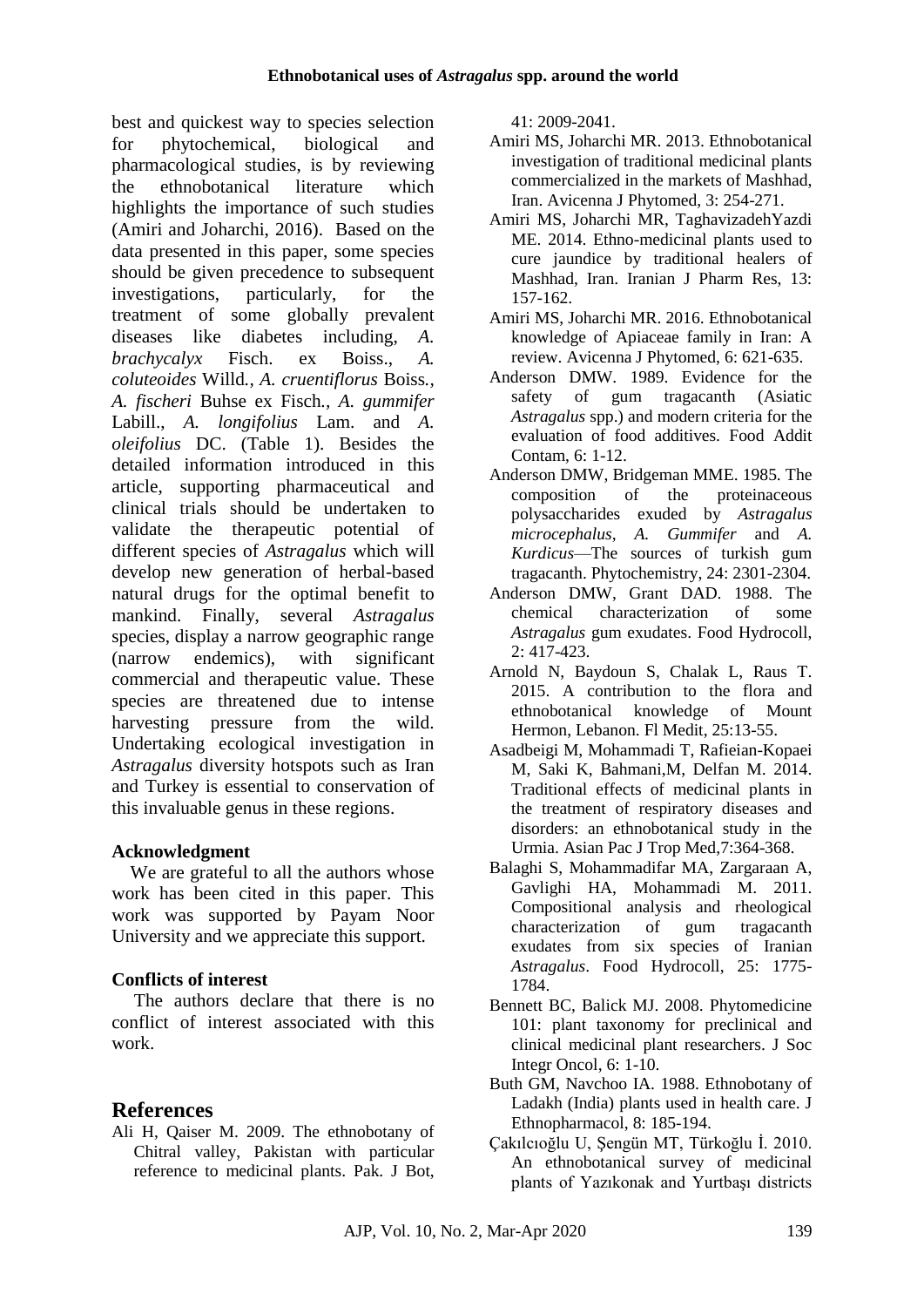best and quickest way to species selection for phytochemical, biological and pharmacological studies, is by reviewing the ethnobotanical literature which highlights the importance of such studies (Amiri and Joharchi, 2016). Based on the data presented in this paper, some species should be given precedence to subsequent investigations, particularly, for the treatment of some globally prevalent diseases like diabetes including, *A. brachycalyx* Fisch. ex Boiss., *A. coluteoides* Willd*., A. cruentiflorus* Boiss*., A. fischeri* Buhse ex Fisch*., A. gummifer* Labill., *A. longifolius* Lam. and *A. oleifolius* DC. (Table 1). Besides the detailed information introduced in this article, supporting pharmaceutical and clinical trials should be undertaken to validate the therapeutic potential of different species of *Astragalus* which will develop new generation of herbal-based natural drugs for the optimal benefit to mankind. Finally, several *Astragalus* species, display a narrow geographic range (narrow endemics), with significant commercial and therapeutic value. These species are threatened due to intense harvesting pressure from the wild. Undertaking ecological investigation in *Astragalus* diversity hotspots such as Iran and Turkey is essential to conservation of this invaluable genus in these regions.

## **Acknowledgment**

 We are grateful to all the authors whose work has been cited in this paper. This work was supported by Payam Noor University and we appreciate this support.

# **Conflicts of interest**

The authors declare that there is no conflict of interest associated with this work.

# **References**

Ali H, Qaiser M. 2009. The ethnobotany of Chitral valley, Pakistan with particular reference to medicinal plants. Pak. J Bot, 41: 2009-2041.

- Amiri MS, Joharchi MR. 2013. Ethnobotanical investigation of traditional medicinal plants commercialized in the markets of Mashhad, Iran. Avicenna J Phytomed, 3: 254-271.
- Amiri MS, Joharchi MR, TaghavizadehYazdi ME. 2014. Ethno-medicinal plants used to cure jaundice by traditional healers of Mashhad, Iran. Iranian J Pharm Res, 13: 157-162.
- Amiri MS, Joharchi MR. 2016. Ethnobotanical knowledge of Apiaceae family in Iran: A review. Avicenna J Phytomed, 6: 621-635.
- Anderson DMW. 1989. Evidence for the safety of gum tragacanth (Asiatic *Astragalus* spp.) and modern criteria for the evaluation of food additives. Food Addit Contam, 6: 1-12.
- Anderson DMW, Bridgeman MME. 1985. The composition of the proteinaceous polysaccharides exuded by *Astragalus microcephalus*, *A. Gummifer* and *A. Kurdicus*—The sources of turkish gum tragacanth. Phytochemistry, 24: 2301-2304.
- Anderson DMW, Grant DAD. 1988. The chemical characterization of some *Astragalus* gum exudates. Food Hydrocoll, 2: 417-423.
- Arnold N, Baydoun S, Chalak L, Raus T. 2015. A contribution to the flora and ethnobotanical knowledge of Mount Hermon, Lebanon. Fl Medit, 25:13-55.
- Asadbeigi M, Mohammadi T, Rafieian-Kopaei M, Saki K, Bahmani,M, Delfan M. 2014. Traditional effects of medicinal plants in the treatment of respiratory diseases and disorders: an ethnobotanical study in the Urmia. Asian Pac J Trop Med,7:364-368.
- Balaghi S, Mohammadifar MA, Zargaraan A, Gavlighi HA, Mohammadi M. 2011. Compositional analysis and rheological characterization of gum tragacanth exudates from six species of Iranian *Astragalus*. Food Hydrocoll, 25: 1775- 1784.
- Bennett BC, Balick MJ. 2008. Phytomedicine 101: plant taxonomy for preclinical and clinical medicinal plant researchers. J Soc Integr Oncol, 6: 1-10.
- Buth GM, Navchoo IA. 1988. Ethnobotany of Ladakh (India) plants used in health care. J Ethnopharmacol, 8: 185-194.
- Çakılcıoğlu U, Şengün MT, Türkoğlu İ. 2010. An ethnobotanical survey of medicinal plants of Yazıkonak and Yurtbaşı districts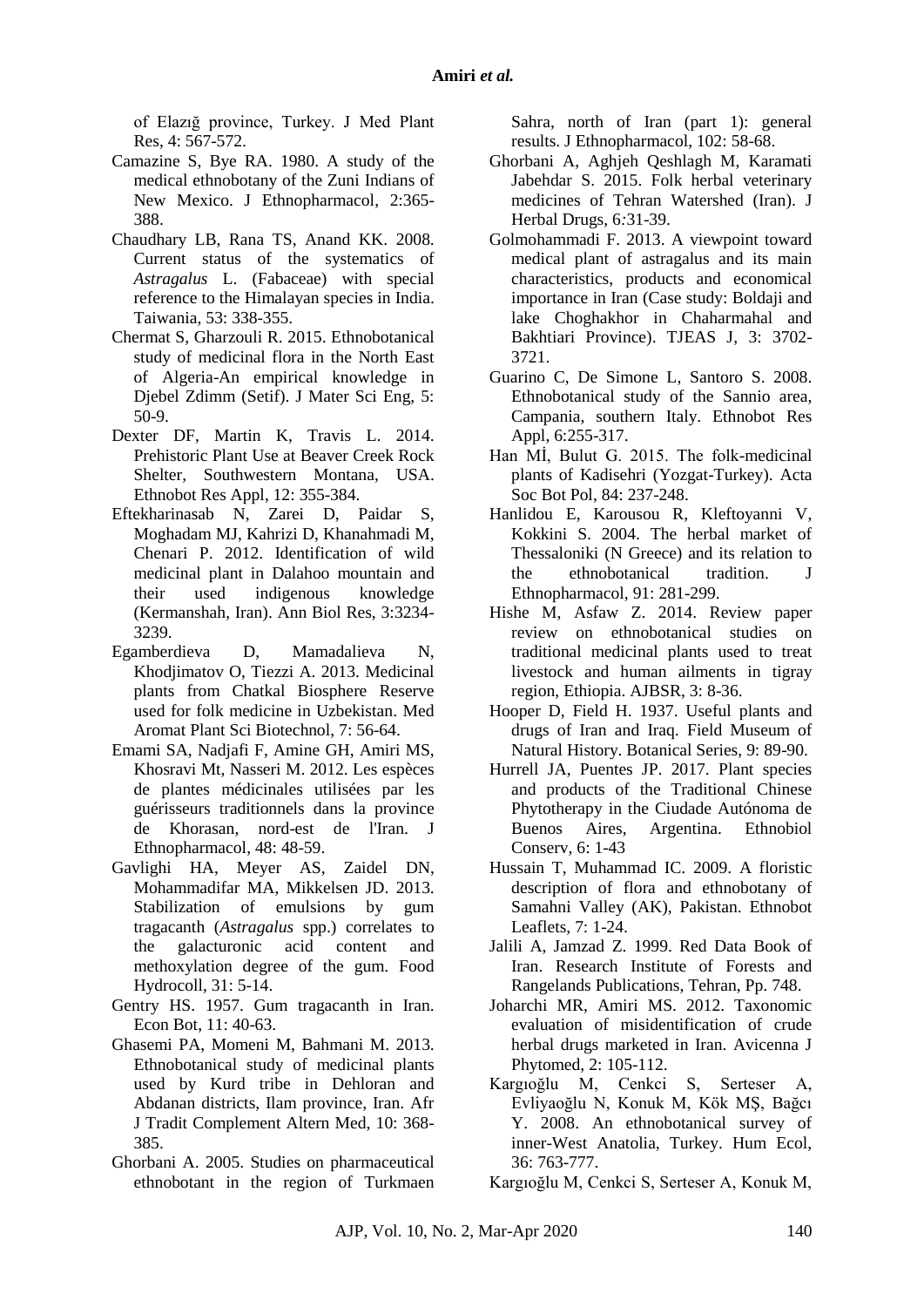of Elazığ province, Turkey. J Med Plant Res, 4: 567-572.

- Camazine S, Bye RA. 1980. A study of the medical ethnobotany of the Zuni Indians of New Mexico. J Ethnopharmacol, 2:365- 388.
- Chaudhary LB, Rana TS, Anand KK. 2008. Current status of the systematics of *Astragalus* L. (Fabaceae) with special reference to the Himalayan species in India. Taiwania, 53: 338-355.
- Chermat S, Gharzouli R. 2015. Ethnobotanical study of medicinal flora in the North East of Algeria-An empirical knowledge in Djebel Zdimm (Setif). J Mater Sci Eng, 5: 50-9.
- Dexter DF, Martin K, Travis L. 2014. Prehistoric Plant Use at Beaver Creek Rock Shelter, Southwestern Montana, USA. Ethnobot Res Appl, 12: 355-384.
- Eftekharinasab N, Zarei D, Paidar S, Moghadam MJ, Kahrizi D, Khanahmadi M, Chenari P. 2012. Identification of wild medicinal plant in Dalahoo mountain and their used indigenous knowledge (Kermanshah, Iran). Ann Biol Res, 3:3234- 3239.
- Egamberdieva D, Mamadalieva N, Khodjimatov O, Tiezzi A. 2013. Medicinal plants from Chatkal Biosphere Reserve used for folk medicine in Uzbekistan. Med Aromat Plant Sci Biotechnol, 7: 56-64.
- Emami SA, Nadjafi F, Amine GH, Amiri MS, Khosravi Mt, Nasseri M. 2012. Les espèces de plantes médicinales utilisées par les guérisseurs traditionnels dans la province de Khorasan, nord-est de l'Iran. J Ethnopharmacol, 48: 48-59.
- Gavlighi HA, Meyer AS, Zaidel DN, Mohammadifar MA, Mikkelsen JD. 2013. Stabilization of emulsions by gum tragacanth (*Astragalus* spp.) correlates to the galacturonic acid content and methoxylation degree of the gum. Food Hydrocoll, 31: 5-14.
- Gentry HS. 1957. Gum tragacanth in Iran. Econ Bot, 11: 40-63.
- Ghasemi PA, Momeni M, Bahmani M. 2013. Ethnobotanical study of medicinal plants used by Kurd tribe in Dehloran and Abdanan districts, Ilam province, Iran. Afr J Tradit Complement Altern Med, 10: 368- 385.
- Ghorbani A. 2005. Studies on pharmaceutical ethnobotant in the region of Turkmaen

Sahra, north of Iran (part 1): general results. J Ethnopharmacol, 102: 58-68.

- Ghorbani A, Aghjeh Qeshlagh M, Karamati Jabehdar S. 2015. Folk herbal veterinary medicines of Tehran Watershed (Iran). J Herbal Drugs, 6*:*31-39.
- Golmohammadi F. 2013. A viewpoint toward medical plant of astragalus and its main characteristics, products and economical importance in Iran (Case study: Boldaji and lake Choghakhor in Chaharmahal and Bakhtiari Province). TJEAS J, 3: 3702- 3721.
- Guarino C, De Simone L, Santoro S. 2008. Ethnobotanical study of the Sannio area, Campania, southern Italy. Ethnobot Res Appl, 6:255-317.
- Han Mİ, Bulut G. 2015. The folk-medicinal plants of Kadisehri (Yozgat-Turkey). Acta Soc Bot Pol, 84: 237-248.
- Hanlidou E, Karousou R, Kleftoyanni V, Kokkini S. 2004. The herbal market of Thessaloniki (N Greece) and its relation to the ethnobotanical tradition. J Ethnopharmacol, 91: 281-299.
- Hishe M, Asfaw Z. 2014. Review paper review on ethnobotanical studies on traditional medicinal plants used to treat livestock and human ailments in tigray region, Ethiopia. AJBSR, 3: 8-36.
- Hooper D, Field H. 1937. Useful plants and drugs of Iran and Iraq. Field Museum of Natural History. Botanical Series, 9: 89-90.
- Hurrell JA, Puentes JP. 2017. Plant species and products of the Traditional Chinese Phytotherapy in the Ciudade Autónoma de Buenos Aires, Argentina. Ethnobiol Conserv, 6: 1-43
- Hussain T, Muhammad IC. 2009. A floristic description of flora and ethnobotany of Samahni Valley (AK), Pakistan. Ethnobot Leaflets, 7: 1-24.
- Jalili A, Jamzad Z. 1999. Red Data Book of Iran. Research Institute of Forests and Rangelands Publications, Tehran, Pp. 748.
- Joharchi MR, Amiri MS. 2012. Taxonomic evaluation of misidentification of crude herbal drugs marketed in Iran. Avicenna J Phytomed, 2: 105-112.
- Kargıoğlu M, Cenkci S, Serteser A, Evliyaoğlu N, Konuk M, Kök MŞ, Bağcı Y. 2008. An ethnobotanical survey of inner-West Anatolia, Turkey. Hum Ecol, 36: 763-777.
- Kargıoğlu M, Cenkci S, Serteser A, Konuk M,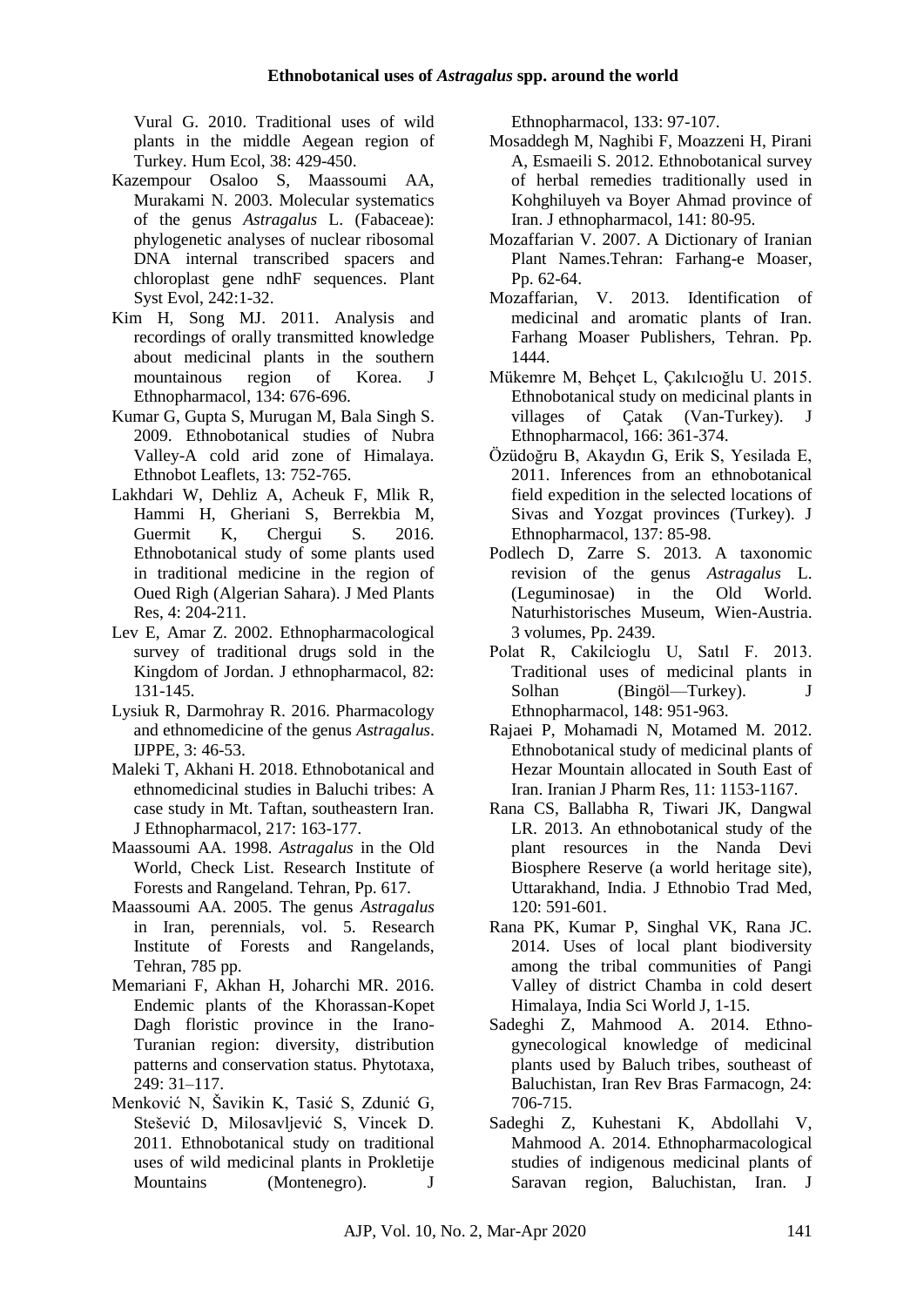Vural G. 2010. Traditional uses of wild plants in the middle Aegean region of Turkey. Hum Ecol, 38: 429-450.

- Kazempour Osaloo S, Maassoumi AA, Murakami N. 2003. Molecular systematics of the genus *Astragalus* L. (Fabaceae): phylogenetic analyses of nuclear ribosomal DNA internal transcribed spacers and chloroplast gene ndhF sequences. Plant Syst Evol, 242:1-32.
- Kim H, Song MJ. 2011. Analysis and recordings of orally transmitted knowledge about medicinal plants in the southern mountainous region of Korea. J Ethnopharmacol, 134: 676-696.
- Kumar G, Gupta S, Murugan M, Bala Singh S. 2009. Ethnobotanical studies of Nubra Valley-A cold arid zone of Himalaya. Ethnobot Leaflets, 13: 752-765.
- Lakhdari W, Dehliz A, Acheuk F, Mlik R, Hammi H, Gheriani S, Berrekbia M, Guermit K, Chergui S. 2016. Ethnobotanical study of some plants used in traditional medicine in the region of Oued Righ (Algerian Sahara). J Med Plants Res, 4: 204-211.
- Lev E, Amar Z. 2002. Ethnopharmacological survey of traditional drugs sold in the Kingdom of Jordan. J ethnopharmacol, 82: 131-145.
- Lysiuk R, Darmohray R. 2016. Pharmacology and ethnomedicine of the genus *Astragalus*. IJPPE, 3: 46-53.
- Maleki T, Akhani H. 2018. Ethnobotanical and ethnomedicinal studies in Baluchi tribes: A case study in Mt. Taftan, southeastern Iran. J Ethnopharmacol, 217: 163-177.
- Maassoumi AA. 1998. *Astragalus* in the Old World, Check List. Research Institute of Forests and Rangeland. Tehran, Pp. 617.
- Maassoumi AA. 2005. The genus *Astragalus*  in Iran, perennials*,* vol. 5. Research Institute of Forests and Rangelands, Tehran, 785 pp.
- Memariani F, Akhan H, Joharchi MR. 2016. Endemic plants of the Khorassan-Kopet Dagh floristic province in the Irano-Turanian region: diversity, distribution patterns and conservation status. Phytotaxa, 249: 31–117.
- Menković N, Šavikin K, Tasić S, Zdunić G, Stešević D, Milosavljević S, Vincek D. 2011. Ethnobotanical study on traditional uses of wild medicinal plants in Prokletije Mountains (Montenegro). J

Ethnopharmacol, 133: 97-107.

- Mosaddegh M, Naghibi F, Moazzeni H, Pirani A, Esmaeili S. 2012. Ethnobotanical survey of herbal remedies traditionally used in Kohghiluyeh va Boyer Ahmad province of Iran. J ethnopharmacol, 141: 80-95.
- Mozaffarian V. 2007. A Dictionary of Iranian Plant Names.Tehran: Farhang-e Moaser, Pp. 62-64.
- Mozaffarian, V. 2013. Identification of medicinal and aromatic plants of Iran. Farhang Moaser Publishers, Tehran. Pp. 1444.
- Mükemre M, Behçet L, Çakılcıoğlu U. 2015. Ethnobotanical study on medicinal plants in villages of Çatak (Van-Turkey). J Ethnopharmacol, 166: 361-374.
- Özüdoğru B, Akaydın G, Erik S, Yesilada E, 2011. Inferences from an ethnobotanical field expedition in the selected locations of Sivas and Yozgat provinces (Turkey). J Ethnopharmacol, 137: 85-98.
- Podlech D, Zarre S. 2013. A taxonomic revision of the genus *Astragalus* L. (Leguminosae) in the Old World. Naturhistorisches Museum, Wien-Austria. 3 volumes, Pp. 2439.
- Polat R, Cakilcioglu U, Satıl F. 2013. Traditional uses of medicinal plants in Solhan (Bingöl—Turkey). J Ethnopharmacol, 148: 951-963.
- Rajaei P, Mohamadi N, Motamed M. 2012. Ethnobotanical study of medicinal plants of Hezar Mountain allocated in South East of Iran. Iranian J Pharm Res, 11: 1153-1167.
- Rana CS, Ballabha R, Tiwari JK, Dangwal LR. 2013. An ethnobotanical study of the plant resources in the Nanda Devi Biosphere Reserve (a world heritage site), Uttarakhand, India. J Ethnobio Trad Med, 120: 591-601.
- Rana PK, Kumar P, Singhal VK, Rana JC. 2014. Uses of local plant biodiversity among the tribal communities of Pangi Valley of district Chamba in cold desert Himalaya, India Sci World J, 1-15.
- Sadeghi Z, Mahmood A. 2014. Ethnogynecological knowledge of medicinal plants used by Baluch tribes, southeast of Baluchistan, Iran Rev Bras Farmacogn, 24: 706-715.
- Sadeghi Z, Kuhestani K, Abdollahi V, Mahmood A. 2014. Ethnopharmacological studies of indigenous medicinal plants of Saravan region, Baluchistan, Iran. J